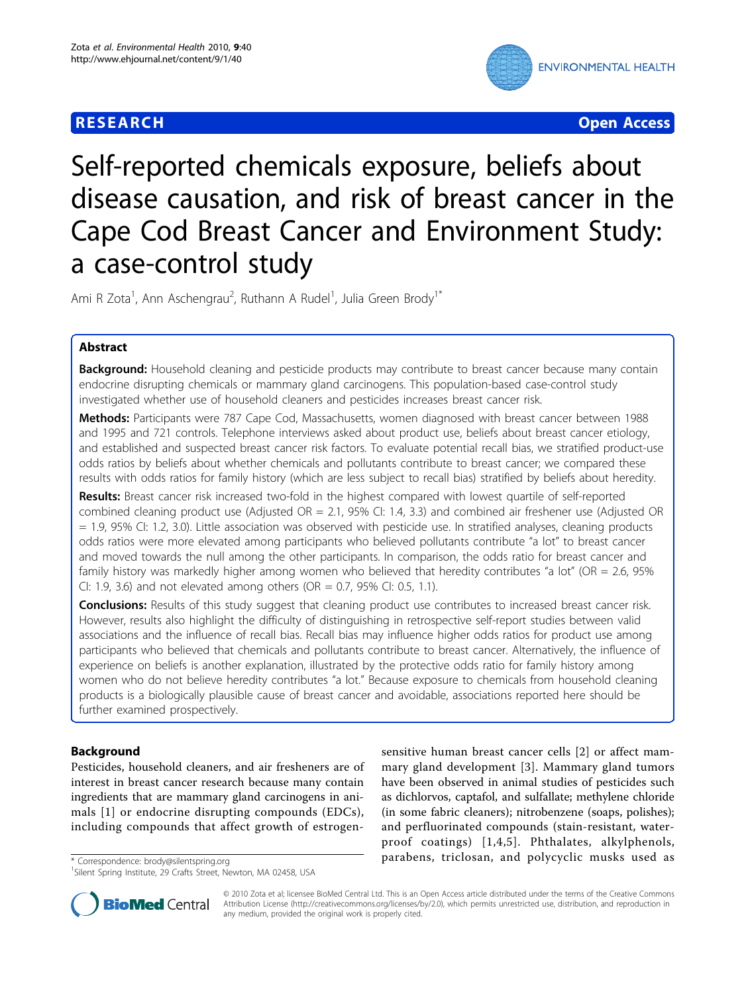# **RESEARCH CONTROL** CONTROL CONTROL CONTROL CONTROL CONTROL CONTROL CONTROL CONTROL CONTROL CONTROL CONTROL CONTROL



# Self-reported chemicals exposure, beliefs about disease causation, and risk of breast cancer in the Cape Cod Breast Cancer and Environment Study: a case-control study

Ami R Zota<sup>1</sup>, Ann Aschengrau<sup>2</sup>, Ruthann A Rudel<sup>1</sup>, Julia Green Brody<sup>1\*</sup>

# Abstract

**Background:** Household cleaning and pesticide products may contribute to breast cancer because many contain endocrine disrupting chemicals or mammary gland carcinogens. This population-based case-control study investigated whether use of household cleaners and pesticides increases breast cancer risk.

Methods: Participants were 787 Cape Cod, Massachusetts, women diagnosed with breast cancer between 1988 and 1995 and 721 controls. Telephone interviews asked about product use, beliefs about breast cancer etiology, and established and suspected breast cancer risk factors. To evaluate potential recall bias, we stratified product-use odds ratios by beliefs about whether chemicals and pollutants contribute to breast cancer; we compared these results with odds ratios for family history (which are less subject to recall bias) stratified by beliefs about heredity.

Results: Breast cancer risk increased two-fold in the highest compared with lowest quartile of self-reported combined cleaning product use (Adjusted OR = 2.1, 95% CI: 1.4, 3.3) and combined air freshener use (Adjusted OR = 1.9, 95% CI: 1.2, 3.0). Little association was observed with pesticide use. In stratified analyses, cleaning products odds ratios were more elevated among participants who believed pollutants contribute "a lot" to breast cancer and moved towards the null among the other participants. In comparison, the odds ratio for breast cancer and family history was markedly higher among women who believed that heredity contributes "a lot" (OR = 2.6, 95% CI: 1.9, 3.6) and not elevated among others (OR = 0.7, 95% CI: 0.5, 1.1).

**Conclusions:** Results of this study suggest that cleaning product use contributes to increased breast cancer risk. However, results also highlight the difficulty of distinguishing in retrospective self-report studies between valid associations and the influence of recall bias. Recall bias may influence higher odds ratios for product use among participants who believed that chemicals and pollutants contribute to breast cancer. Alternatively, the influence of experience on beliefs is another explanation, illustrated by the protective odds ratio for family history among women who do not believe heredity contributes "a lot." Because exposure to chemicals from household cleaning products is a biologically plausible cause of breast cancer and avoidable, associations reported here should be further examined prospectively.

# Background

Pesticides, household cleaners, and air fresheners are of interest in breast cancer research because many contain ingredients that are mammary gland carcinogens in animals [[1\]](#page-13-0) or endocrine disrupting compounds (EDCs), including compounds that affect growth of estrogen-

sensitive human breast cancer cells [[2\]](#page-13-0) or affect mammary gland development [[3](#page-13-0)]. Mammary gland tumors have been observed in animal studies of pesticides such as dichlorvos, captafol, and sulfallate; methylene chloride (in some fabric cleaners); nitrobenzene (soaps, polishes); and perfluorinated compounds (stain-resistant, waterproof coatings) [\[1,4,](#page-13-0)[5\]](#page-14-0). Phthalates, alkylphenols, \* Correspondence: [brody@silentspring.org](mailto:brody@silentspring.org) **blue as a set of the contract of the parabens, triclosan, and polycyclic musks used as** 



© 2010 Zota et al; licensee BioMed Central Ltd. This is an Open Access article distributed under the terms of the Creative Commons Attribution License [\(http://creativecommons.org/licenses/by/2.0](http://creativecommons.org/licenses/by/2.0)), which permits unrestricted use, distribution, and reproduction in any medium, provided the original work is properly cited.

<sup>1</sup> Silent Spring Institute, 29 Crafts Street, Newton, MA 02458, USA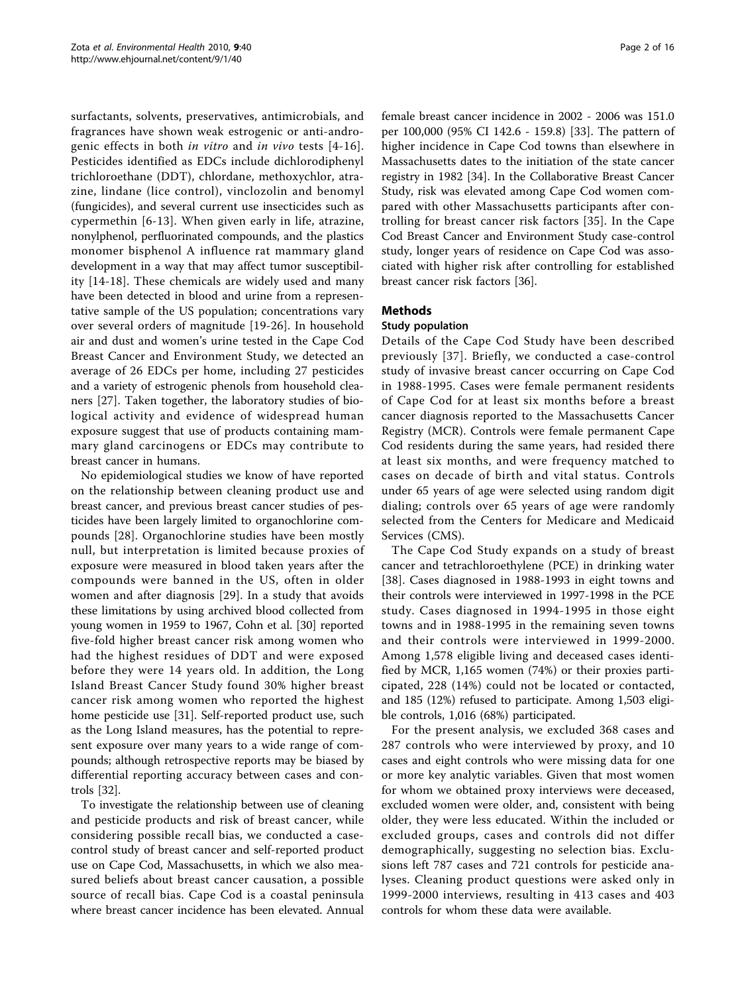surfactants, solvents, preservatives, antimicrobials, and fragrances have shown weak estrogenic or anti-androgenic effects in both in vitro and in vivo tests [\[4-](#page-13-0)[16\]](#page-14-0). Pesticides identified as EDCs include dichlorodiphenyl trichloroethane (DDT), chlordane, methoxychlor, atrazine, lindane (lice control), vinclozolin and benomyl (fungicides), and several current use insecticides such as cypermethin [[6-13\]](#page-14-0). When given early in life, atrazine, nonylphenol, perfluorinated compounds, and the plastics monomer bisphenol A influence rat mammary gland development in a way that may affect tumor susceptibility [[14](#page-14-0)-[18\]](#page-14-0). These chemicals are widely used and many have been detected in blood and urine from a representative sample of the US population; concentrations vary over several orders of magnitude [[19-26](#page-14-0)]. In household air and dust and women's urine tested in the Cape Cod Breast Cancer and Environment Study, we detected an average of 26 EDCs per home, including 27 pesticides and a variety of estrogenic phenols from household cleaners [[27\]](#page-14-0). Taken together, the laboratory studies of biological activity and evidence of widespread human exposure suggest that use of products containing mammary gland carcinogens or EDCs may contribute to breast cancer in humans.

No epidemiological studies we know of have reported on the relationship between cleaning product use and breast cancer, and previous breast cancer studies of pesticides have been largely limited to organochlorine compounds [\[28\]](#page-14-0). Organochlorine studies have been mostly null, but interpretation is limited because proxies of exposure were measured in blood taken years after the compounds were banned in the US, often in older women and after diagnosis [\[29](#page-14-0)]. In a study that avoids these limitations by using archived blood collected from young women in 1959 to 1967, Cohn et al. [[30\]](#page-14-0) reported five-fold higher breast cancer risk among women who had the highest residues of DDT and were exposed before they were 14 years old. In addition, the Long Island Breast Cancer Study found 30% higher breast cancer risk among women who reported the highest home pesticide use [\[31\]](#page-14-0). Self-reported product use, such as the Long Island measures, has the potential to represent exposure over many years to a wide range of compounds; although retrospective reports may be biased by differential reporting accuracy between cases and controls [\[32](#page-14-0)].

To investigate the relationship between use of cleaning and pesticide products and risk of breast cancer, while considering possible recall bias, we conducted a casecontrol study of breast cancer and self-reported product use on Cape Cod, Massachusetts, in which we also measured beliefs about breast cancer causation, a possible source of recall bias. Cape Cod is a coastal peninsula where breast cancer incidence has been elevated. Annual

female breast cancer incidence in 2002 - 2006 was 151.0 per 100,000 (95% CI 142.6 - 159.8) [[33\]](#page-14-0). The pattern of higher incidence in Cape Cod towns than elsewhere in Massachusetts dates to the initiation of the state cancer registry in 1982 [\[34](#page-14-0)]. In the Collaborative Breast Cancer Study, risk was elevated among Cape Cod women compared with other Massachusetts participants after controlling for breast cancer risk factors [[35](#page-14-0)]. In the Cape Cod Breast Cancer and Environment Study case-control study, longer years of residence on Cape Cod was associated with higher risk after controlling for established breast cancer risk factors [[36\]](#page-14-0).

# Methods

# Study population

Details of the Cape Cod Study have been described previously [[37](#page-14-0)]. Briefly, we conducted a case-control study of invasive breast cancer occurring on Cape Cod in 1988-1995. Cases were female permanent residents of Cape Cod for at least six months before a breast cancer diagnosis reported to the Massachusetts Cancer Registry (MCR). Controls were female permanent Cape Cod residents during the same years, had resided there at least six months, and were frequency matched to cases on decade of birth and vital status. Controls under 65 years of age were selected using random digit dialing; controls over 65 years of age were randomly selected from the Centers for Medicare and Medicaid Services (CMS).

The Cape Cod Study expands on a study of breast cancer and tetrachloroethylene (PCE) in drinking water [[38](#page-14-0)]. Cases diagnosed in 1988-1993 in eight towns and their controls were interviewed in 1997-1998 in the PCE study. Cases diagnosed in 1994-1995 in those eight towns and in 1988-1995 in the remaining seven towns and their controls were interviewed in 1999-2000. Among 1,578 eligible living and deceased cases identified by MCR, 1,165 women (74%) or their proxies participated, 228 (14%) could not be located or contacted, and 185 (12%) refused to participate. Among 1,503 eligible controls, 1,016 (68%) participated.

For the present analysis, we excluded 368 cases and 287 controls who were interviewed by proxy, and 10 cases and eight controls who were missing data for one or more key analytic variables. Given that most women for whom we obtained proxy interviews were deceased, excluded women were older, and, consistent with being older, they were less educated. Within the included or excluded groups, cases and controls did not differ demographically, suggesting no selection bias. Exclusions left 787 cases and 721 controls for pesticide analyses. Cleaning product questions were asked only in 1999-2000 interviews, resulting in 413 cases and 403 controls for whom these data were available.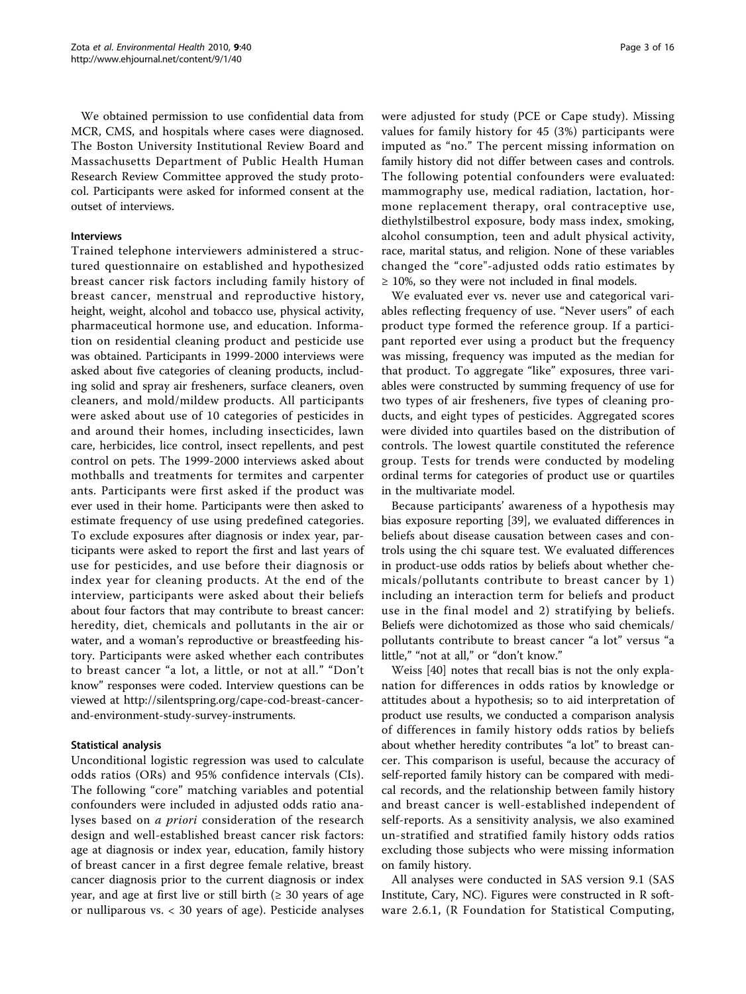We obtained permission to use confidential data from MCR, CMS, and hospitals where cases were diagnosed. The Boston University Institutional Review Board and Massachusetts Department of Public Health Human Research Review Committee approved the study protocol. Participants were asked for informed consent at the outset of interviews.

## Interviews

Trained telephone interviewers administered a structured questionnaire on established and hypothesized breast cancer risk factors including family history of breast cancer, menstrual and reproductive history, height, weight, alcohol and tobacco use, physical activity, pharmaceutical hormone use, and education. Information on residential cleaning product and pesticide use was obtained. Participants in 1999-2000 interviews were asked about five categories of cleaning products, including solid and spray air fresheners, surface cleaners, oven cleaners, and mold/mildew products. All participants were asked about use of 10 categories of pesticides in and around their homes, including insecticides, lawn care, herbicides, lice control, insect repellents, and pest control on pets. The 1999-2000 interviews asked about mothballs and treatments for termites and carpenter ants. Participants were first asked if the product was ever used in their home. Participants were then asked to estimate frequency of use using predefined categories. To exclude exposures after diagnosis or index year, participants were asked to report the first and last years of use for pesticides, and use before their diagnosis or index year for cleaning products. At the end of the interview, participants were asked about their beliefs about four factors that may contribute to breast cancer: heredity, diet, chemicals and pollutants in the air or water, and a woman's reproductive or breastfeeding history. Participants were asked whether each contributes to breast cancer "a lot, a little, or not at all." "Don't know" responses were coded. Interview questions can be viewed at [http://silentspring.org/cape-cod-breast-cancer](http://silentspring.org/cape-cod-breast-cancer-and-environment-study-survey-instruments)[and-environment-study-survey-instruments.](http://silentspring.org/cape-cod-breast-cancer-and-environment-study-survey-instruments)

## Statistical analysis

Unconditional logistic regression was used to calculate odds ratios (ORs) and 95% confidence intervals (CIs). The following "core" matching variables and potential confounders were included in adjusted odds ratio analyses based on *a priori* consideration of the research design and well-established breast cancer risk factors: age at diagnosis or index year, education, family history of breast cancer in a first degree female relative, breast cancer diagnosis prior to the current diagnosis or index year, and age at first live or still birth  $(≥ 30$  years of age or nulliparous vs. < 30 years of age). Pesticide analyses were adjusted for study (PCE or Cape study). Missing values for family history for 45 (3%) participants were imputed as "no." The percent missing information on family history did not differ between cases and controls. The following potential confounders were evaluated: mammography use, medical radiation, lactation, hormone replacement therapy, oral contraceptive use, diethylstilbestrol exposure, body mass index, smoking, alcohol consumption, teen and adult physical activity, race, marital status, and religion. None of these variables changed the "core"-adjusted odds ratio estimates by  $\geq$  10%, so they were not included in final models.

We evaluated ever vs. never use and categorical variables reflecting frequency of use. "Never users" of each product type formed the reference group. If a participant reported ever using a product but the frequency was missing, frequency was imputed as the median for that product. To aggregate "like" exposures, three variables were constructed by summing frequency of use for two types of air fresheners, five types of cleaning products, and eight types of pesticides. Aggregated scores were divided into quartiles based on the distribution of controls. The lowest quartile constituted the reference group. Tests for trends were conducted by modeling ordinal terms for categories of product use or quartiles in the multivariate model.

Because participants' awareness of a hypothesis may bias exposure reporting [\[39](#page-14-0)], we evaluated differences in beliefs about disease causation between cases and controls using the chi square test. We evaluated differences in product-use odds ratios by beliefs about whether chemicals/pollutants contribute to breast cancer by 1) including an interaction term for beliefs and product use in the final model and 2) stratifying by beliefs. Beliefs were dichotomized as those who said chemicals/ pollutants contribute to breast cancer "a lot" versus "a little," "not at all," or "don't know."

Weiss [[40\]](#page-14-0) notes that recall bias is not the only explanation for differences in odds ratios by knowledge or attitudes about a hypothesis; so to aid interpretation of product use results, we conducted a comparison analysis of differences in family history odds ratios by beliefs about whether heredity contributes "a lot" to breast cancer. This comparison is useful, because the accuracy of self-reported family history can be compared with medical records, and the relationship between family history and breast cancer is well-established independent of self-reports. As a sensitivity analysis, we also examined un-stratified and stratified family history odds ratios excluding those subjects who were missing information on family history.

All analyses were conducted in SAS version 9.1 (SAS Institute, Cary, NC). Figures were constructed in R software 2.6.1, (R Foundation for Statistical Computing,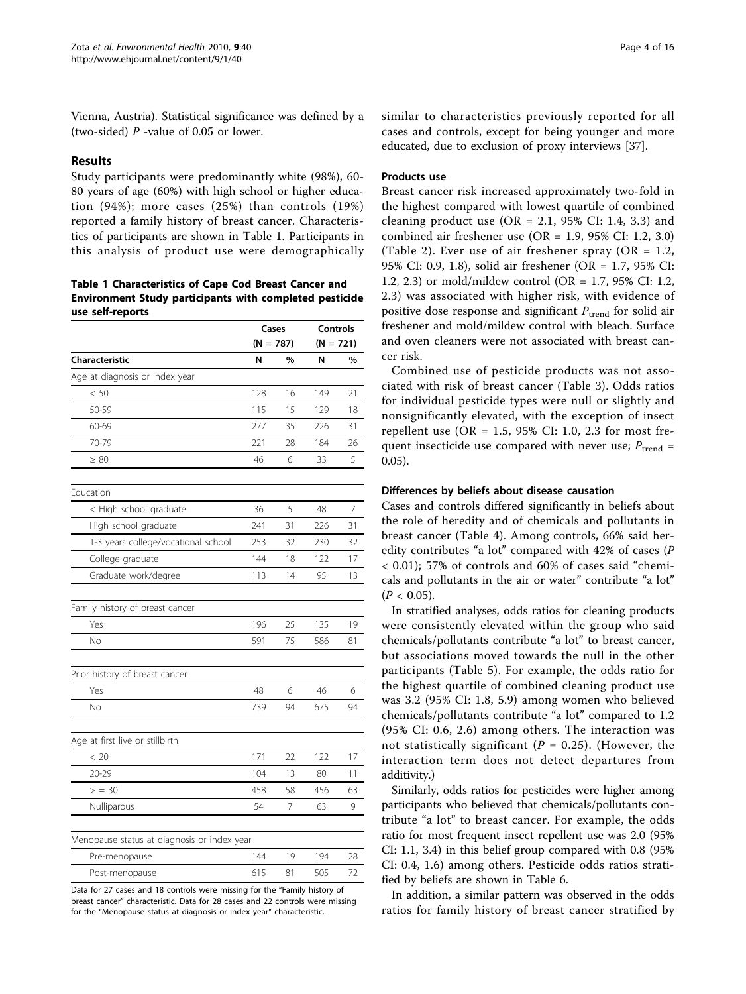Vienna, Austria). Statistical significance was defined by a (two-sided)  $P$  -value of 0.05 or lower.

## Results

Study participants were predominantly white (98%), 60- 80 years of age (60%) with high school or higher education (94%); more cases (25%) than controls (19%) reported a family history of breast cancer. Characteristics of participants are shown in Table 1. Participants in this analysis of product use were demographically

Table 1 Characteristics of Cape Cod Breast Cancer and Environment Study participants with completed pesticide use self-reports

|                                             | Cases       |    | Controls    |    |  |
|---------------------------------------------|-------------|----|-------------|----|--|
|                                             | $(N = 787)$ |    | $(N = 721)$ |    |  |
| Characteristic                              | N           | %  | N           | %  |  |
| Age at diagnosis or index year              |             |    |             |    |  |
| < 50                                        | 128         | 16 | 149         | 21 |  |
| 50-59                                       | 115         | 15 | 129         | 18 |  |
| 60-69                                       | 277         | 35 | 226         | 31 |  |
| 70-79                                       | 221         | 28 | 184         | 26 |  |
| $\geq 80$                                   | 46          | 6  | 33          | 5  |  |
| Education                                   |             |    |             |    |  |
| < High school graduate                      | 36          | 5  | 48          | 7  |  |
| High school graduate                        | 241         | 31 | 226         | 31 |  |
| 1-3 years college/vocational school         | 253         | 32 | 230         | 32 |  |
| College graduate                            | 144         | 18 | 122         | 17 |  |
| Graduate work/degree                        | 113         | 14 | 95          | 13 |  |
| Family history of breast cancer             |             |    |             |    |  |
| Yes                                         | 196         | 25 | 135         | 19 |  |
| No                                          | 591         | 75 | 586         | 81 |  |
| Prior history of breast cancer              |             |    |             |    |  |
| Yes                                         | 48          | 6  | 46          | 6  |  |
| No                                          | 739         | 94 | 675         | 94 |  |
| Age at first live or stillbirth             |             |    |             |    |  |
| < 20                                        | 171         | 22 | 122         | 17 |  |
| $20 - 29$                                   | 104         | 13 | 80          | 11 |  |
| > 30                                        | 458         | 58 | 456         | 63 |  |
| Nulliparous                                 | 54          | 7  | 63          | 9  |  |
| Menopause status at diagnosis or index year |             |    |             |    |  |
| Pre-menopause                               | 144         | 19 | 194         | 28 |  |
| Post-menopause                              | 615         | 81 | 505         | 72 |  |
|                                             |             |    |             |    |  |

Data for 27 cases and 18 controls were missing for the "Family history of breast cancer" characteristic. Data for 28 cases and 22 controls were missing for the "Menopause status at diagnosis or index year" characteristic.

similar to characteristics previously reported for all cases and controls, except for being younger and more educated, due to exclusion of proxy interviews [\[37](#page-14-0)].

# Products use

Breast cancer risk increased approximately two-fold in the highest compared with lowest quartile of combined cleaning product use (OR = 2.1, 95% CI: 1.4, 3.3) and combined air freshener use (OR = 1.9, 95% CI: 1.2, 3.0) (Table [2\)](#page-4-0). Ever use of air freshener spray (OR =  $1.2$ , 95% CI: 0.9, 1.8), solid air freshener (OR = 1.7, 95% CI: 1.2, 2.3) or mold/mildew control (OR = 1.7, 95% CI: 1.2, 2.3) was associated with higher risk, with evidence of positive dose response and significant  $P_{\text{trend}}$  for solid air freshener and mold/mildew control with bleach. Surface and oven cleaners were not associated with breast cancer risk.

Combined use of pesticide products was not associated with risk of breast cancer (Table [3](#page-6-0)). Odds ratios for individual pesticide types were null or slightly and nonsignificantly elevated, with the exception of insect repellent use (OR =  $1.5$ , 95% CI: 1.0, 2.3 for most frequent insecticide use compared with never use;  $P_{\text{trend}} =$ 0.05).

## Differences by beliefs about disease causation

Cases and controls differed significantly in beliefs about the role of heredity and of chemicals and pollutants in breast cancer (Table [4\)](#page-8-0). Among controls, 66% said heredity contributes "a lot" compared with 42% of cases (P < 0.01); 57% of controls and 60% of cases said "chemicals and pollutants in the air or water" contribute "a lot"  $(P < 0.05)$ .

In stratified analyses, odds ratios for cleaning products were consistently elevated within the group who said chemicals/pollutants contribute "a lot" to breast cancer, but associations moved towards the null in the other participants (Table [5](#page-9-0)). For example, the odds ratio for the highest quartile of combined cleaning product use was 3.2 (95% CI: 1.8, 5.9) among women who believed chemicals/pollutants contribute "a lot" compared to 1.2 (95% CI: 0.6, 2.6) among others. The interaction was not statistically significant ( $P = 0.25$ ). (However, the interaction term does not detect departures from additivity.)

Similarly, odds ratios for pesticides were higher among participants who believed that chemicals/pollutants contribute "a lot" to breast cancer. For example, the odds ratio for most frequent insect repellent use was 2.0 (95% CI: 1.1, 3.4) in this belief group compared with 0.8 (95% CI: 0.4, 1.6) among others. Pesticide odds ratios stratified by beliefs are shown in Table [6.](#page-11-0)

In addition, a similar pattern was observed in the odds ratios for family history of breast cancer stratified by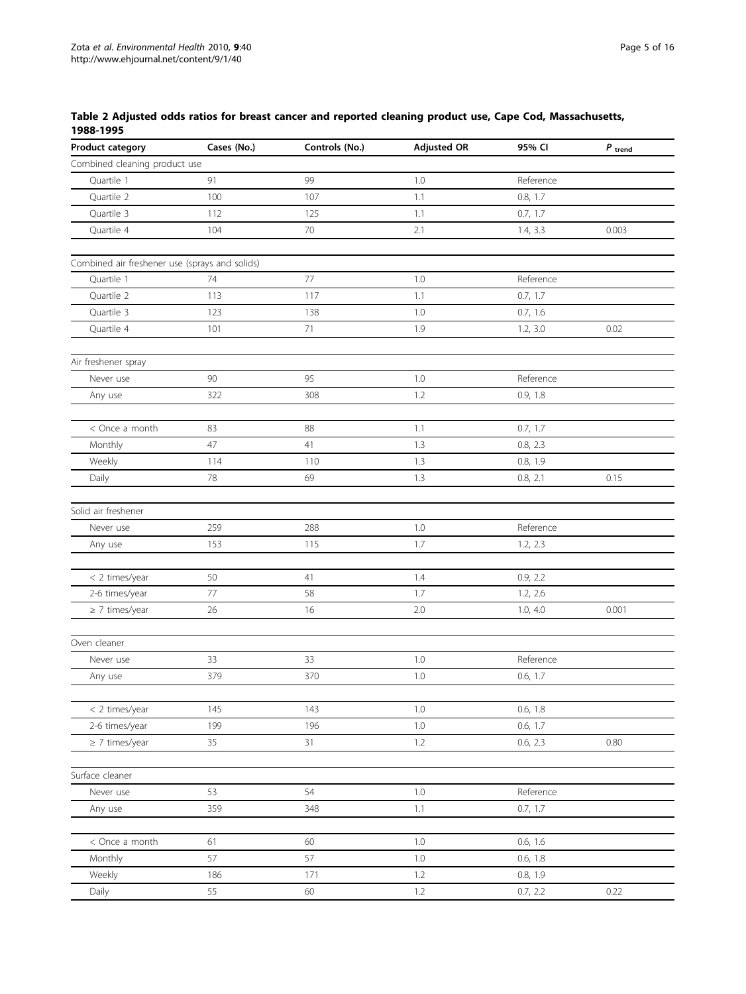<span id="page-4-0"></span>

| .<br><b>Product category</b>                   | Cases (No.) | Controls (No.) | <b>Adjusted OR</b> | 95% CI    | $P_{\text{trend}}$ |
|------------------------------------------------|-------------|----------------|--------------------|-----------|--------------------|
| Combined cleaning product use                  |             |                |                    |           |                    |
| Quartile 1                                     | 91          | 99             | 1.0                | Reference |                    |
| Quartile 2                                     | 100         | 107            | 1.1                | 0.8, 1.7  |                    |
| Quartile 3                                     | 112         | 125            | 1.1                | 0.7, 1.7  |                    |
| Quartile 4                                     | 104         | $70\,$         | 2.1                | 1.4, 3.3  | 0.003              |
|                                                |             |                |                    |           |                    |
| Combined air freshener use (sprays and solids) |             |                |                    |           |                    |
| Quartile 1                                     | 74          | 77             | 1.0                | Reference |                    |
| Quartile 2                                     | 113         | 117            | 1.1                | 0.7, 1.7  |                    |
| Quartile 3                                     | 123         | 138            | 1.0                | 0.7, 1.6  |                    |
| Quartile 4                                     | 101         | 71             | 1.9                | 1.2, 3.0  | 0.02               |
|                                                |             |                |                    |           |                    |
| Air freshener spray                            |             |                |                    |           |                    |
| Never use                                      | 90          | 95             | 1.0                | Reference |                    |
| Any use                                        | 322         | 308            | 1.2                | 0.9, 1.8  |                    |
|                                                |             |                |                    |           |                    |
| < Once a month                                 | 83          | 88             | 1.1                | 0.7, 1.7  |                    |
| Monthly                                        | 47          | 41             | 1.3                | 0.8, 2.3  |                    |
| Weekly                                         | 114         | 110            | 1.3                | 0.8, 1.9  |                    |
| Daily                                          | 78          | 69             | 1.3                | 0.8, 2.1  | 0.15               |
|                                                |             |                |                    |           |                    |
| Solid air freshener                            |             |                |                    |           |                    |
| Never use                                      | 259         | 288            | 1.0                | Reference |                    |
| Any use                                        | 153         | 115            | $1.7\,$            | 1.2, 2.3  |                    |
|                                                |             |                |                    |           |                    |
| < 2 times/year                                 | 50          | 41             | $1.4\,$            | 0.9, 2.2  |                    |
| 2-6 times/year                                 | $77\,$      | 58             | $1.7\,$            | 1.2, 2.6  |                    |
| $\geq$ 7 times/year                            | 26          | 16             | 2.0                | 1.0, 4.0  | 0.001              |
|                                                |             |                |                    |           |                    |
| Oven cleaner                                   |             |                |                    |           |                    |
| Never use                                      | 33          | 33             | 1.0                | Reference |                    |
| Any use                                        | 379         | 370            | 1.0                | 0.6, 1.7  |                    |
|                                                |             |                |                    |           |                    |
| < 2 times/year                                 | 145         | 143            | 1.0                | 0.6, 1.8  |                    |
| 2-6 times/year                                 | 199         | 196            | $1.0\,$            | 0.6, 1.7  |                    |
| $\geq$ 7 times/year                            | 35          | 31             | $1.2\,$            | 0.6, 2.3  | 0.80               |
|                                                |             |                |                    |           |                    |
| Surface cleaner                                |             |                |                    |           |                    |
| Never use                                      | 53          | 54             | 1.0                | Reference |                    |
| Any use                                        | 359         | 348            | 1.1                | 0.7, 1.7  |                    |
|                                                |             |                |                    |           |                    |
| < Once a month                                 | 61          | 60             | $1.0\,$            | 0.6, 1.6  |                    |
| Monthly                                        | 57          | 57             | 1.0                | 0.6, 1.8  |                    |
| Weekly                                         | 186         | 171            | $1.2\,$            | 0.8, 1.9  |                    |
| Daily                                          | 55          | 60             | $1.2\,$            | 0.7, 2.2  | 0.22               |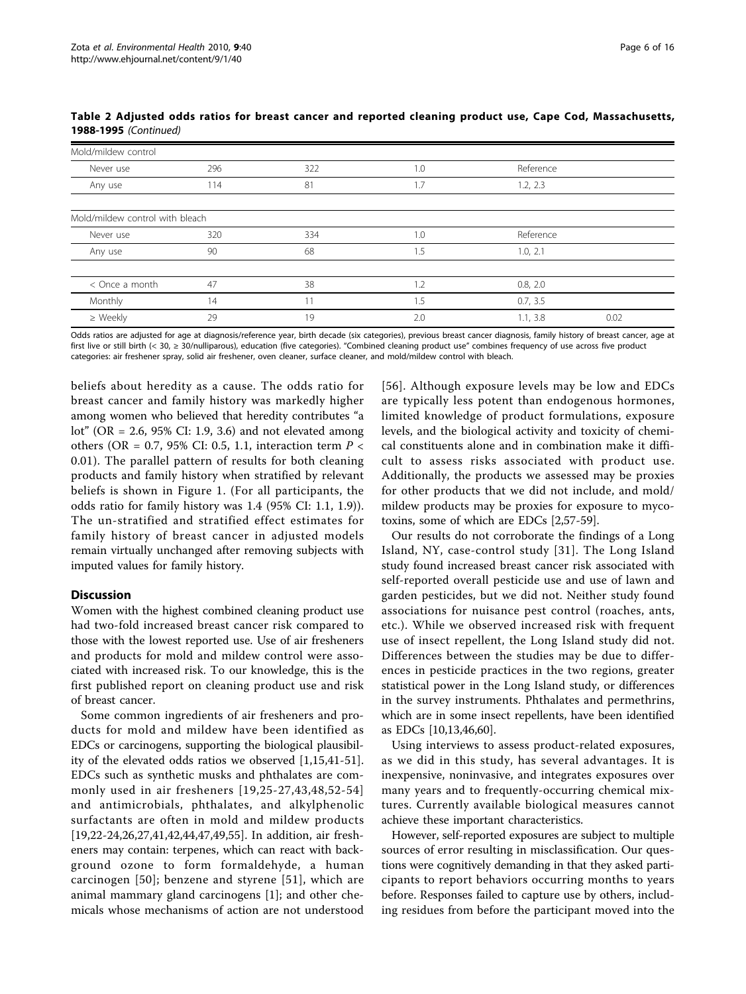| Mold/mildew control             |     |     |     |           |      |  |  |
|---------------------------------|-----|-----|-----|-----------|------|--|--|
| Never use                       | 296 | 322 | 1.0 | Reference |      |  |  |
| Any use                         | 114 | 81  | 1.7 | 1.2, 2.3  |      |  |  |
|                                 |     |     |     |           |      |  |  |
| Mold/mildew control with bleach |     |     |     |           |      |  |  |
| Never use                       | 320 | 334 | 1.0 | Reference |      |  |  |
| Any use                         | 90  | 68  | 1.5 | 1.0, 2.1  |      |  |  |
|                                 |     |     |     |           |      |  |  |
| < Once a month                  | 47  | 38  | 1.2 | 0.8, 2.0  |      |  |  |
| Monthly                         | 14  | 11  | 1.5 | 0.7, 3.5  |      |  |  |
| $\geq$ Weekly                   | 29  | 19  | 2.0 | 1.1, 3.8  | 0.02 |  |  |

Table 2 Adjusted odds ratios for breast cancer and reported cleaning product use, Cape Cod, Massachusetts, 1988-1995 (Continued)

Odds ratios are adjusted for age at diagnosis/reference year, birth decade (six categories), previous breast cancer diagnosis, family history of breast cancer, age at first live or still birth (< 30, ≥ 30/nulliparous), education (five categories). "Combined cleaning product use" combines frequency of use across five product categories: air freshener spray, solid air freshener, oven cleaner, surface cleaner, and mold/mildew control with bleach.

beliefs about heredity as a cause. The odds ratio for breast cancer and family history was markedly higher among women who believed that heredity contributes "a lot" (OR = 2.6, 95% CI: 1.9, 3.6) and not elevated among others (OR = 0.7, 95% CI: 0.5, 1.1, interaction term  $P \lt \theta$ 0.01). The parallel pattern of results for both cleaning products and family history when stratified by relevant beliefs is shown in Figure [1](#page-13-0). (For all participants, the odds ratio for family history was 1.4 (95% CI: 1.1, 1.9)). The un-stratified and stratified effect estimates for family history of breast cancer in adjusted models remain virtually unchanged after removing subjects with imputed values for family history.

## **Discussion**

Women with the highest combined cleaning product use had two-fold increased breast cancer risk compared to those with the lowest reported use. Use of air fresheners and products for mold and mildew control were associated with increased risk. To our knowledge, this is the first published report on cleaning product use and risk of breast cancer.

Some common ingredients of air fresheners and products for mold and mildew have been identified as EDCs or carcinogens, supporting the biological plausibility of the elevated odds ratios we observed [\[1](#page-13-0),[15](#page-14-0),[41-](#page-14-0)[51](#page-15-0)]. EDCs such as synthetic musks and phthalates are commonly used in air fresheners [[19,25](#page-14-0)-[27,43](#page-14-0),[48](#page-14-0),[52-54](#page-15-0)] and antimicrobials, phthalates, and alkylphenolic surfactants are often in mold and mildew products [[19,22-24](#page-14-0),[26](#page-14-0),[27,41,42,44,47](#page-14-0)[,49,55](#page-15-0)]. In addition, air fresheners may contain: terpenes, which can react with background ozone to form formaldehyde, a human carcinogen [[50\]](#page-15-0); benzene and styrene [[51](#page-15-0)], which are animal mammary gland carcinogens [[1\]](#page-13-0); and other chemicals whose mechanisms of action are not understood

[[56\]](#page-15-0). Although exposure levels may be low and EDCs are typically less potent than endogenous hormones, limited knowledge of product formulations, exposure levels, and the biological activity and toxicity of chemical constituents alone and in combination make it difficult to assess risks associated with product use. Additionally, the products we assessed may be proxies for other products that we did not include, and mold/ mildew products may be proxies for exposure to mycotoxins, some of which are EDCs [\[2](#page-13-0)[,57](#page-15-0)-[59](#page-15-0)].

Our results do not corroborate the findings of a Long Island, NY, case-control study [[31](#page-14-0)]. The Long Island study found increased breast cancer risk associated with self-reported overall pesticide use and use of lawn and garden pesticides, but we did not. Neither study found associations for nuisance pest control (roaches, ants, etc.). While we observed increased risk with frequent use of insect repellent, the Long Island study did not. Differences between the studies may be due to differences in pesticide practices in the two regions, greater statistical power in the Long Island study, or differences in the survey instruments. Phthalates and permethrins, which are in some insect repellents, have been identified as EDCs [\[10,13,46](#page-14-0)[,60\]](#page-15-0).

Using interviews to assess product-related exposures, as we did in this study, has several advantages. It is inexpensive, noninvasive, and integrates exposures over many years and to frequently-occurring chemical mixtures. Currently available biological measures cannot achieve these important characteristics.

However, self-reported exposures are subject to multiple sources of error resulting in misclassification. Our questions were cognitively demanding in that they asked participants to report behaviors occurring months to years before. Responses failed to capture use by others, including residues from before the participant moved into the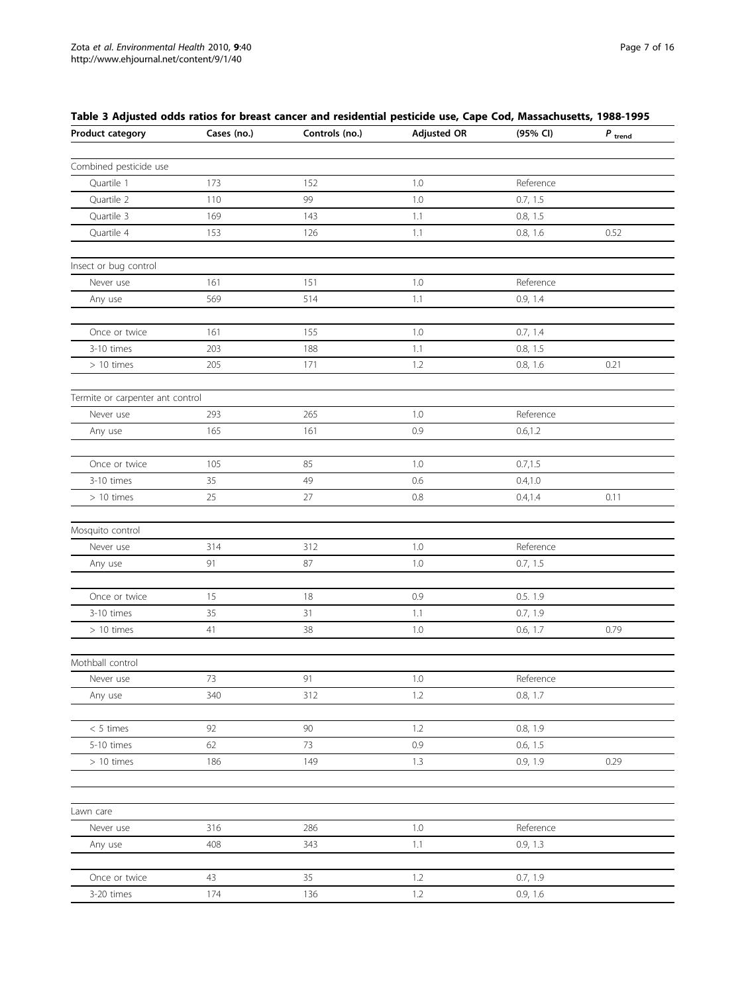| Product category                 | Cases (no.) | Controls (no.) | <b>Adjusted OR</b> | (95% CI)  | $P_{\text{trend}}$ |
|----------------------------------|-------------|----------------|--------------------|-----------|--------------------|
| Combined pesticide use           |             |                |                    |           |                    |
| Quartile 1                       | 173         | 152            | 1.0                | Reference |                    |
| Quartile 2                       | 110         | 99             | 1.0                | 0.7, 1.5  |                    |
| Quartile 3                       | 169         | 143            | 1.1                | 0.8, 1.5  |                    |
| Quartile 4                       | 153         | 126            | 1.1                | 0.8, 1.6  | 0.52               |
|                                  |             |                |                    |           |                    |
| Insect or bug control            |             |                |                    |           |                    |
| Never use                        | 161         | 151            | 1.0                | Reference |                    |
| Any use                          | 569         | 514            | 1.1                | 0.9, 1.4  |                    |
|                                  |             |                |                    |           |                    |
| Once or twice                    | 161         | 155            | 1.0                | 0.7, 1.4  |                    |
| 3-10 times                       | 203         | 188            | 1.1                | 0.8, 1.5  |                    |
| $>10$ times                      | 205         | 171            | 1.2                | 0.8, 1.6  | 0.21               |
|                                  |             |                |                    |           |                    |
| Termite or carpenter ant control |             |                |                    |           |                    |
| Never use                        | 293         | 265            | 1.0                | Reference |                    |
| Any use                          | 165         | 161            | 0.9                | 0.6, 1.2  |                    |
| Once or twice                    | 105         | 85             | 1.0                | 0.7, 1.5  |                    |
| 3-10 times                       | 35          | 49             | 0.6                | 0.4, 1.0  |                    |
| $>10$ times                      | 25          | 27             | 0.8                | 0.4, 1.4  | 0.11               |
|                                  |             |                |                    |           |                    |
| Mosquito control                 |             |                |                    |           |                    |
| Never use                        | 314         | 312            | 1.0                | Reference |                    |
| Any use                          | 91          | 87             | 1.0                | 0.7, 1.5  |                    |
|                                  |             |                |                    |           |                    |
| Once or twice                    | 15          | 18             | 0.9                | 0.5.1.9   |                    |
| 3-10 times                       | 35          | 31             | 1.1                | 0.7, 1.9  |                    |
| $> 10$ times                     | 41          | 38             | 1.0                | 0.6, 1.7  | 0.79               |
|                                  |             |                |                    |           |                    |
| Mothball control                 |             |                |                    |           |                    |
| Never use                        | 73          | 91             | 1.0                | Reference |                    |
| Any use                          | 340         | 312            | 1.2                | 0.8, 1.7  |                    |
|                                  |             |                |                    |           |                    |
| $< 5$ times                      | 92          | 90             | 1.2                | 0.8, 1.9  |                    |
| 5-10 times                       | 62          | 73             | 0.9                | 0.6, 1.5  |                    |
| $> 10$ times                     | 186         | 149            | 1.3                | 0.9, 1.9  | 0.29               |
|                                  |             |                |                    |           |                    |
| Lawn care                        |             |                |                    |           |                    |
| Never use                        | 316         | 286            | 1.0                | Reference |                    |
| Any use                          | 408         | 343            | 1.1                | 0.9, 1.3  |                    |
|                                  |             |                |                    |           |                    |
| Once or twice                    | 43          | 35             | 1.2                | 0.7, 1.9  |                    |
| 3-20 times                       | 174         | 136            | $1.2\,$            | 0.9, 1.6  |                    |

# <span id="page-6-0"></span>Table 3 Adjusted odds ratios for breast cancer and residential pesticide use, Cape Cod, Massachusetts, 1988-1995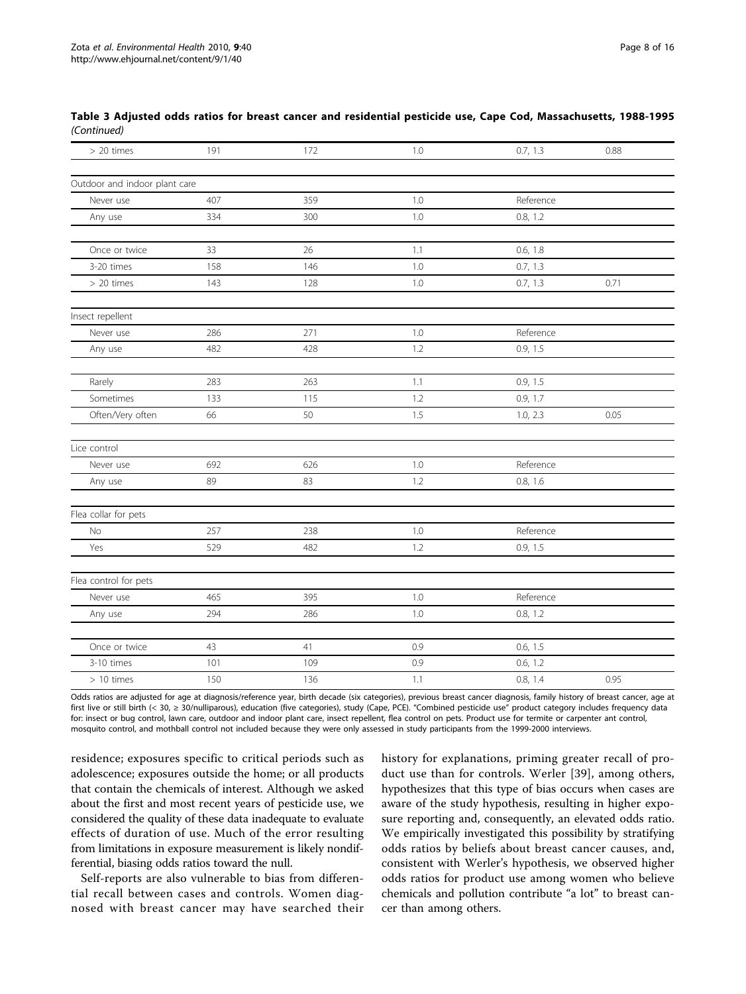| Table 3 Adjusted odds ratios for breast cancer and residential pesticide use, Cape Cod, Massachusetts, 1988-1995 |  |  |  |  |
|------------------------------------------------------------------------------------------------------------------|--|--|--|--|
| (Continued)                                                                                                      |  |  |  |  |

| > 20 times                    | 191 | 172  | 1.0     | 0.7, 1.3  | 0.88 |
|-------------------------------|-----|------|---------|-----------|------|
| Outdoor and indoor plant care |     |      |         |           |      |
| Never use                     | 407 | 359  | 1.0     | Reference |      |
| Any use                       | 334 | 300  | 1.0     | 0.8, 1.2  |      |
|                               |     |      |         |           |      |
| Once or twice                 | 33  | 26   | 1.1     | 0.6, 1.8  |      |
| 3-20 times                    | 158 | 146  | 1.0     | 0.7, 1.3  |      |
| > 20 times                    | 143 | 128  | 1.0     | 0.7, 1.3  | 0.71 |
| Insect repellent              |     |      |         |           |      |
| Never use                     | 286 | 271  | 1.0     | Reference |      |
| Any use                       | 482 | 428  | 1.2     | 0.9, 1.5  |      |
|                               |     |      |         |           |      |
| Rarely                        | 283 | 263  | 1.1     | 0.9, 1.5  |      |
| Sometimes                     | 133 | 115  | 1.2     | 0.9, 1.7  |      |
| Often/Very often              | 66  | 50   | 1.5     | 1.0, 2.3  | 0.05 |
| Lice control                  |     |      |         |           |      |
| Never use                     | 692 | 626  | 1.0     | Reference |      |
| Any use                       | 89  | 83   | 1.2     | 0.8, 1.6  |      |
|                               |     |      |         |           |      |
| Flea collar for pets          |     |      |         |           |      |
| <b>No</b>                     | 257 | 238  | $1.0\,$ | Reference |      |
| Yes                           | 529 | 482  | 1.2     | 0.9, 1.5  |      |
|                               |     |      |         |           |      |
| Flea control for pets         |     |      |         |           |      |
| Never use                     | 465 | 395  | 1.0     | Reference |      |
| Any use                       | 294 | 286  | 1.0     | 0.8, 1.2  |      |
|                               |     |      |         |           |      |
| Once or twice                 | 43  | $41$ | 0.9     | 0.6, 1.5  |      |
| 3-10 times                    | 101 | 109  | 0.9     | 0.6, 1.2  |      |
| $>10$ times                   | 150 | 136  | 1.1     | 0.8, 1.4  | 0.95 |

Odds ratios are adjusted for age at diagnosis/reference year, birth decade (six categories), previous breast cancer diagnosis, family history of breast cancer, age at first live or still birth (< 30, ≥ 30/nulliparous), education (five categories), study (Cape, PCE). "Combined pesticide use" product category includes frequency data for: insect or bug control, lawn care, outdoor and indoor plant care, insect repellent, flea control on pets. Product use for termite or carpenter ant control, mosquito control, and mothball control not included because they were only assessed in study participants from the 1999-2000 interviews.

residence; exposures specific to critical periods such as adolescence; exposures outside the home; or all products that contain the chemicals of interest. Although we asked about the first and most recent years of pesticide use, we considered the quality of these data inadequate to evaluate effects of duration of use. Much of the error resulting from limitations in exposure measurement is likely nondifferential, biasing odds ratios toward the null.

Self-reports are also vulnerable to bias from differential recall between cases and controls. Women diagnosed with breast cancer may have searched their history for explanations, priming greater recall of product use than for controls. Werler [[39\]](#page-14-0), among others, hypothesizes that this type of bias occurs when cases are aware of the study hypothesis, resulting in higher exposure reporting and, consequently, an elevated odds ratio. We empirically investigated this possibility by stratifying odds ratios by beliefs about breast cancer causes, and, consistent with Werler's hypothesis, we observed higher odds ratios for product use among women who believe chemicals and pollution contribute "a lot" to breast cancer than among others.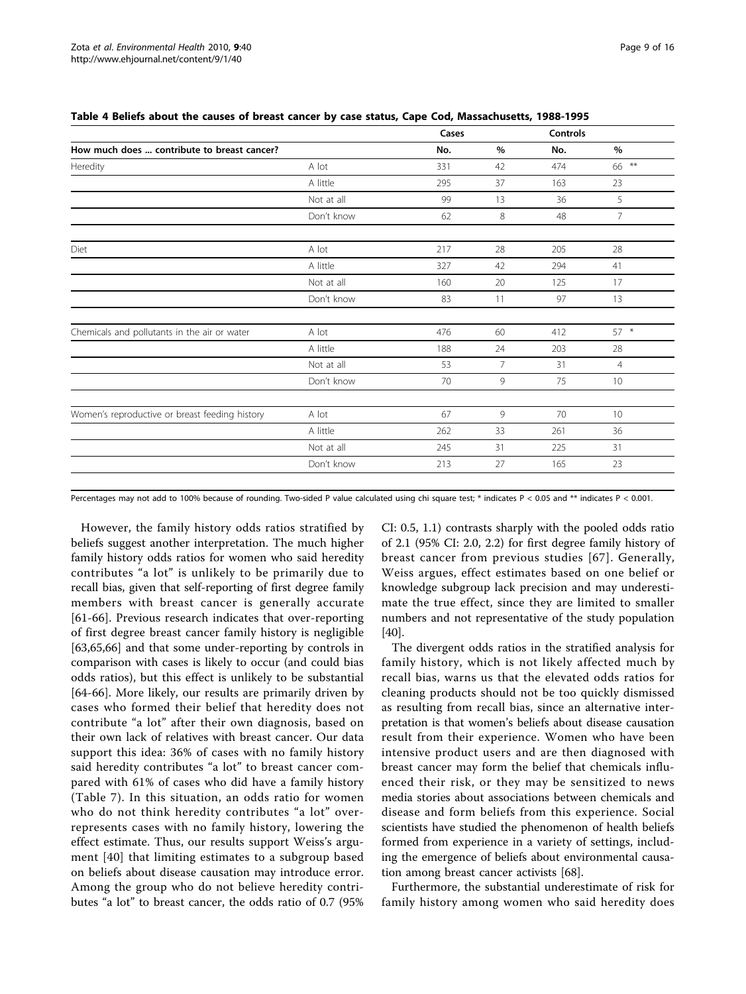|                                                |            | Cases |      | <b>Controls</b> |                |
|------------------------------------------------|------------|-------|------|-----------------|----------------|
| How much does  contribute to breast cancer?    |            | No.   | $\%$ | No.             | $\%$           |
| Heredity                                       | A lot      | 331   | 42   | 474             | 66 **          |
|                                                | A little   | 295   | 37   | 163             | 23             |
|                                                | Not at all | 99    | 13   | 36              | 5              |
|                                                | Don't know | 62    | 8    | 48              | 7              |
|                                                |            |       |      |                 |                |
| <b>Diet</b>                                    | A lot      | 217   | 28   | 205             | 28             |
|                                                | A little   | 327   | 42   | 294             | 41             |
|                                                | Not at all | 160   | 20   | 125             | 17             |
|                                                | Don't know | 83    | 11   | 97              | 13             |
|                                                |            |       |      |                 |                |
| Chemicals and pollutants in the air or water   | A lot      | 476   | 60   | 412             | $57 *$         |
|                                                | A little   | 188   | 24   | 203             | 28             |
|                                                | Not at all | 53    | 7    | 31              | $\overline{4}$ |
|                                                | Don't know | 70    | 9    | 75              | 10             |
|                                                |            |       |      |                 |                |
| Women's reproductive or breast feeding history | A lot      | 67    | 9    | 70              | 10             |
|                                                | A little   | 262   | 33   | 261             | 36             |
|                                                | Not at all | 245   | 31   | 225             | 31             |
|                                                | Don't know | 213   | 27   | 165             | 23             |
|                                                |            |       |      |                 |                |

<span id="page-8-0"></span>Table 4 Beliefs about the causes of breast cancer by case status, Cape Cod, Massachusetts, 1988-1995

Percentages may not add to 100% because of rounding. Two-sided P value calculated using chi square test; \* indicates P < 0.05 and \*\* indicates P < 0.001.

However, the family history odds ratios stratified by beliefs suggest another interpretation. The much higher family history odds ratios for women who said heredity contributes "a lot" is unlikely to be primarily due to recall bias, given that self-reporting of first degree family members with breast cancer is generally accurate [[61-66\]](#page-15-0). Previous research indicates that over-reporting of first degree breast cancer family history is negligible [[63,65,66\]](#page-15-0) and that some under-reporting by controls in comparison with cases is likely to occur (and could bias odds ratios), but this effect is unlikely to be substantial [[64-66\]](#page-15-0). More likely, our results are primarily driven by cases who formed their belief that heredity does not contribute "a lot" after their own diagnosis, based on their own lack of relatives with breast cancer. Our data support this idea: 36% of cases with no family history said heredity contributes "a lot" to breast cancer compared with 61% of cases who did have a family history (Table [7\)](#page-13-0). In this situation, an odds ratio for women who do not think heredity contributes "a lot" overrepresents cases with no family history, lowering the effect estimate. Thus, our results support Weiss's argument [[40\]](#page-14-0) that limiting estimates to a subgroup based on beliefs about disease causation may introduce error. Among the group who do not believe heredity contributes "a lot" to breast cancer, the odds ratio of 0.7 (95% CI: 0.5, 1.1) contrasts sharply with the pooled odds ratio of 2.1 (95% CI: 2.0, 2.2) for first degree family history of breast cancer from previous studies [[67\]](#page-15-0). Generally, Weiss argues, effect estimates based on one belief or knowledge subgroup lack precision and may underestimate the true effect, since they are limited to smaller numbers and not representative of the study population [[40\]](#page-14-0).

The divergent odds ratios in the stratified analysis for family history, which is not likely affected much by recall bias, warns us that the elevated odds ratios for cleaning products should not be too quickly dismissed as resulting from recall bias, since an alternative interpretation is that women's beliefs about disease causation result from their experience. Women who have been intensive product users and are then diagnosed with breast cancer may form the belief that chemicals influenced their risk, or they may be sensitized to news media stories about associations between chemicals and disease and form beliefs from this experience. Social scientists have studied the phenomenon of health beliefs formed from experience in a variety of settings, including the emergence of beliefs about environmental causation among breast cancer activists [\[68\]](#page-15-0).

Furthermore, the substantial underestimate of risk for family history among women who said heredity does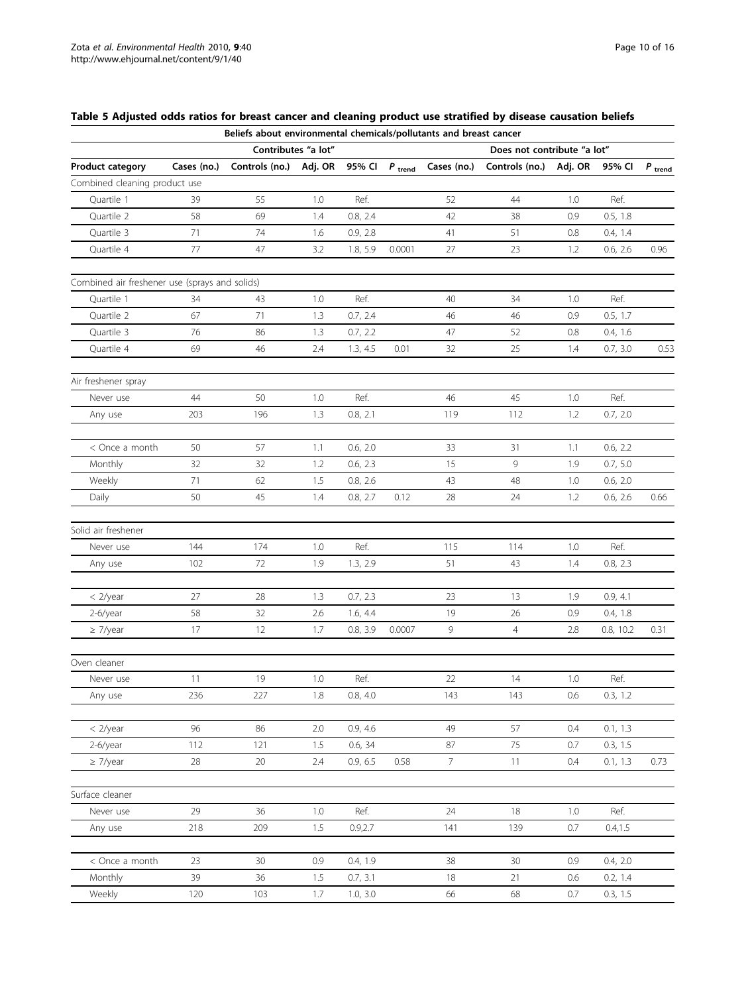|                                                | Beliefs about environmental chemicals/pollutants and breast cancer |                     |         |                             |        |                |                |         |           |                     |
|------------------------------------------------|--------------------------------------------------------------------|---------------------|---------|-----------------------------|--------|----------------|----------------|---------|-----------|---------------------|
|                                                |                                                                    | Contributes "a lot" |         | Does not contribute "a lot" |        |                |                |         |           |                     |
| <b>Product category</b>                        | Cases (no.)                                                        | Controls (no.)      | Adj. OR | 95% Cl $P$ <sub>trend</sub> |        | Cases (no.)    | Controls (no.) | Adj. OR | 95% CI    | $P_{\text{ trend}}$ |
| Combined cleaning product use                  |                                                                    |                     |         |                             |        |                |                |         |           |                     |
| Quartile 1                                     | 39                                                                 | 55                  | 1.0     | Ref.                        |        | 52             | 44             | 1.0     | Ref.      |                     |
| Quartile 2                                     | 58                                                                 | 69                  | 1.4     | 0.8, 2.4                    |        | 42             | 38             | 0.9     | 0.5, 1.8  |                     |
| Quartile 3                                     | 71                                                                 | 74                  | 1.6     | 0.9, 2.8                    |        | 41             | 51             | 0.8     | 0.4, 1.4  |                     |
| Quartile 4                                     | 77                                                                 | 47                  | 3.2     | 1.8, 5.9                    | 0.0001 | 27             | 23             | 1.2     | 0.6, 2.6  | 0.96                |
| Combined air freshener use (sprays and solids) |                                                                    |                     |         |                             |        |                |                |         |           |                     |
| Quartile 1                                     | 34                                                                 | 43                  | 1.0     | Ref.                        |        | 40             | 34             | 1.0     | Ref.      |                     |
| Quartile 2                                     | 67                                                                 | 71                  | 1.3     | 0.7, 2.4                    |        | 46             | 46             | 0.9     | 0.5, 1.7  |                     |
| Quartile 3                                     | 76                                                                 | 86                  | 1.3     | 0.7, 2.2                    |        | 47             | 52             | 0.8     | 0.4, 1.6  |                     |
| Quartile 4                                     | 69                                                                 | 46                  | 2.4     | 1.3, 4.5                    | 0.01   | 32             | 25             | 1.4     | 0.7, 3.0  | 0.53                |
| Air freshener spray                            |                                                                    |                     |         |                             |        |                |                |         |           |                     |
| Never use                                      | 44                                                                 | 50                  | 1.0     | Ref.                        |        | 46             | 45             | 1.0     | Ref.      |                     |
| Any use                                        | 203                                                                | 196                 | 1.3     | 0.8, 2.1                    |        | 119            | 112            | 1.2     | 0.7, 2.0  |                     |
| < Once a month                                 | 50                                                                 | 57                  | 1.1     | 0.6, 2.0                    |        | 33             | 31             | 1.1     | 0.6, 2.2  |                     |
| Monthly                                        | 32                                                                 | 32                  | 1.2     | 0.6, 2.3                    |        | 15             | 9              | 1.9     | 0.7, 5.0  |                     |
| Weekly                                         | 71                                                                 | 62                  | 1.5     | 0.8, 2.6                    |        | 43             | 48             | 1.0     | 0.6, 2.0  |                     |
| Daily                                          | 50                                                                 | 45                  | 1.4     | 0.8, 2.7                    | 0.12   | 28             | 24             | 1.2     | 0.6, 2.6  | 0.66                |
| Solid air freshener                            |                                                                    |                     |         |                             |        |                |                |         |           |                     |
| Never use                                      | 144                                                                | 174                 | 1.0     | Ref.                        |        | 115            | 114            | 1.0     | Ref.      |                     |
| Any use                                        | 102                                                                | 72                  | 1.9     | 1.3, 2.9                    |        | 51             | 43             | 1.4     | 0.8, 2.3  |                     |
| $<$ 2/year                                     | 27                                                                 | 28                  | 1.3     | 0.7, 2.3                    |        | 23             | 13             | 1.9     | 0.9, 4.1  |                     |
| 2-6/year                                       | 58                                                                 | 32                  | 2.6     | 1.6, 4.4                    |        | 19             | 26             | 0.9     | 0.4, 1.8  |                     |
| $\geq$ 7/year                                  | 17                                                                 | 12                  | 1.7     | 0.8, 3.9                    | 0.0007 | 9              | $\overline{4}$ | 2.8     | 0.8, 10.2 | 0.31                |
| Oven cleaner                                   |                                                                    |                     |         |                             |        |                |                |         |           |                     |
| Never use                                      | 11                                                                 | 19                  | 1.0     | Ref.                        |        | 22             | 14             | 1.0     | Ref.      |                     |
| Any use                                        | 236                                                                | 227                 | 1.8     | 0.8, 4.0                    |        | 143            | 143            | 0.6     | 0.3, 1.2  |                     |
| $<$ 2/year                                     | 96                                                                 | 86                  | 2.0     | 0.9, 4.6                    |        | 49             | 57             | 0.4     | 0.1, 1.3  |                     |
| 2-6/year                                       | 112                                                                | 121                 | 1.5     | 0.6, 34                     |        | 87             | 75             | 0.7     | 0.3, 1.5  |                     |
| $\geq$ 7/year                                  | 28                                                                 | 20                  | 2.4     | 0.9, 6.5                    | 0.58   | $\overline{7}$ | 11             | 0.4     | 0.1, 1.3  | 0.73                |
| Surface cleaner                                |                                                                    |                     |         |                             |        |                |                |         |           |                     |
| Never use                                      | 29                                                                 | 36                  | 1.0     | Ref.                        |        | 24             | 18             | 1.0     | Ref.      |                     |
| Any use                                        | 218                                                                | 209                 | 1.5     | 0.9, 2.7                    |        | 141            | 139            | 0.7     | 0.4, 1.5  |                     |
| < Once a month                                 | 23                                                                 | 30                  | 0.9     | 0.4, 1.9                    |        | 38             | 30             | 0.9     | 0.4, 2.0  |                     |
| Monthly                                        | 39                                                                 | 36                  | 1.5     | 0.7, 3.1                    |        | 18             | 21             | 0.6     | 0.2, 1.4  |                     |
| Weekly                                         | 120                                                                | 103                 | 1.7     | 1.0, 3.0                    |        | 66             | 68             | 0.7     | 0.3, 1.5  |                     |

# <span id="page-9-0"></span>Table 5 Adjusted odds ratios for breast cancer and cleaning product use stratified by disease causation beliefs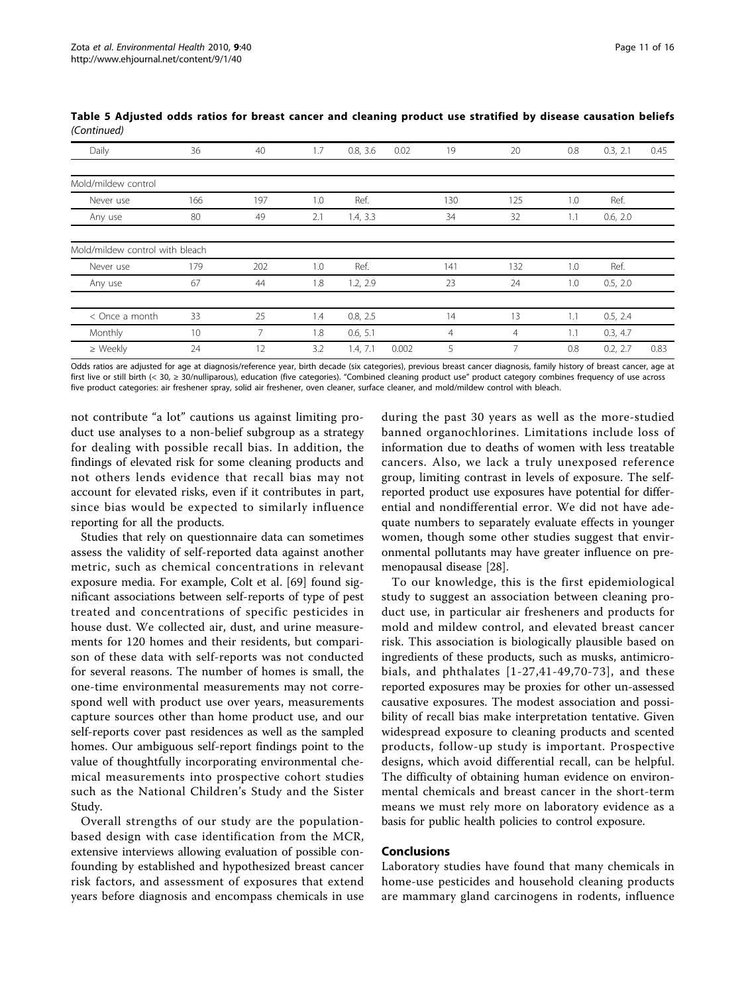| Daily                           | 36  | 40  | 1.7 | 0.8, 3.6 | 0.02  | 19             | 20             | 0.8 | 0.3, 2.1 | 0.45 |
|---------------------------------|-----|-----|-----|----------|-------|----------------|----------------|-----|----------|------|
| Mold/mildew control             |     |     |     |          |       |                |                |     |          |      |
| Never use                       | 166 | 197 | 1.0 | Ref.     |       | 130            | 125            | 1.0 | Ref.     |      |
| Any use                         | 80  | 49  | 2.1 | 1.4, 3.3 |       | 34             | 32             | 1.1 | 0.6, 2.0 |      |
| Mold/mildew control with bleach |     |     |     |          |       |                |                |     |          |      |
| Never use                       | 179 | 202 | 1.0 | Ref.     |       | 141            | 132            | 1.0 | Ref.     |      |
| Any use                         | 67  | 44  | 1.8 | 1.2, 2.9 |       | 23             | 24             | 1.0 | 0.5, 2.0 |      |
|                                 |     |     |     |          |       |                |                |     |          |      |
| < Once a month                  | 33  | 25  | 1.4 | 0.8, 2.5 |       | 14             | 13             | 1.1 | 0.5, 2.4 |      |
| Monthly                         | 10  | 7   | 1.8 | 0.6, 5.1 |       | $\overline{4}$ | $\overline{4}$ | 1.1 | 0.3, 4.7 |      |
| $\geq$ Weekly                   | 24  | 12  | 3.2 | 1.4, 7.1 | 0.002 | 5              | 7              | 0.8 | 0.2, 2.7 | 0.83 |

Table 5 Adjusted odds ratios for breast cancer and cleaning product use stratified by disease causation beliefs (Continued)

Odds ratios are adjusted for age at diagnosis/reference year, birth decade (six categories), previous breast cancer diagnosis, family history of breast cancer, age at first live or still birth (< 30, ≥ 30/nulliparous), education (five categories). "Combined cleaning product use" product category combines frequency of use across five product categories: air freshener spray, solid air freshener, oven cleaner, surface cleaner, and mold/mildew control with bleach.

not contribute "a lot" cautions us against limiting product use analyses to a non-belief subgroup as a strategy for dealing with possible recall bias. In addition, the findings of elevated risk for some cleaning products and not others lends evidence that recall bias may not account for elevated risks, even if it contributes in part, since bias would be expected to similarly influence reporting for all the products.

Studies that rely on questionnaire data can sometimes assess the validity of self-reported data against another metric, such as chemical concentrations in relevant exposure media. For example, Colt et al. [[69\]](#page-15-0) found significant associations between self-reports of type of pest treated and concentrations of specific pesticides in house dust. We collected air, dust, and urine measurements for 120 homes and their residents, but comparison of these data with self-reports was not conducted for several reasons. The number of homes is small, the one-time environmental measurements may not correspond well with product use over years, measurements capture sources other than home product use, and our self-reports cover past residences as well as the sampled homes. Our ambiguous self-report findings point to the value of thoughtfully incorporating environmental chemical measurements into prospective cohort studies such as the National Children's Study and the Sister Study.

Overall strengths of our study are the populationbased design with case identification from the MCR, extensive interviews allowing evaluation of possible confounding by established and hypothesized breast cancer risk factors, and assessment of exposures that extend years before diagnosis and encompass chemicals in use

during the past 30 years as well as the more-studied banned organochlorines. Limitations include loss of information due to deaths of women with less treatable cancers. Also, we lack a truly unexposed reference group, limiting contrast in levels of exposure. The selfreported product use exposures have potential for differential and nondifferential error. We did not have adequate numbers to separately evaluate effects in younger women, though some other studies suggest that environmental pollutants may have greater influence on premenopausal disease [\[28](#page-14-0)].

To our knowledge, this is the first epidemiological study to suggest an association between cleaning product use, in particular air fresheners and products for mold and mildew control, and elevated breast cancer risk. This association is biologically plausible based on ingredients of these products, such as musks, antimicrobials, and phthalates [[1](#page-13-0)-[27,41](#page-14-0)-[49](#page-15-0),[70-73](#page-15-0)], and these reported exposures may be proxies for other un-assessed causative exposures. The modest association and possibility of recall bias make interpretation tentative. Given widespread exposure to cleaning products and scented products, follow-up study is important. Prospective designs, which avoid differential recall, can be helpful. The difficulty of obtaining human evidence on environmental chemicals and breast cancer in the short-term means we must rely more on laboratory evidence as a basis for public health policies to control exposure.

## Conclusions

Laboratory studies have found that many chemicals in home-use pesticides and household cleaning products are mammary gland carcinogens in rodents, influence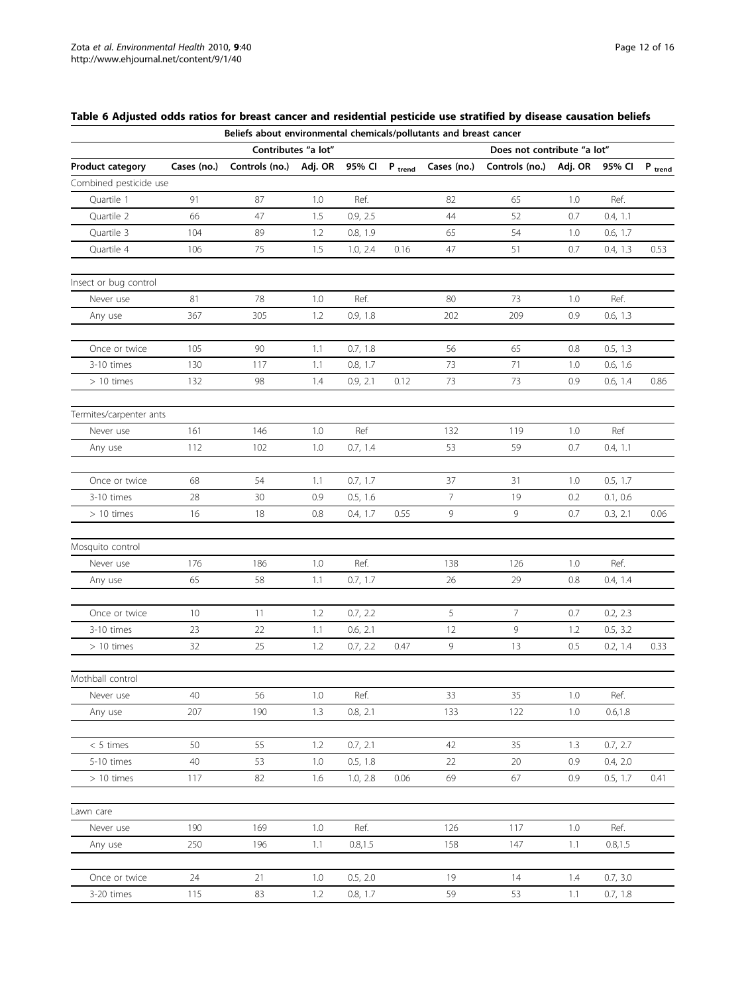|                         | Beliefs about environmental chemicals/pollutants and breast cancer |                     |         |                |      |                             |                |         |                |      |  |
|-------------------------|--------------------------------------------------------------------|---------------------|---------|----------------|------|-----------------------------|----------------|---------|----------------|------|--|
|                         |                                                                    | Contributes "a lot" |         |                |      | Does not contribute "a lot" |                |         |                |      |  |
| Product category        | Cases (no.)                                                        | Controls (no.)      | Adj. OR | 95% Cl P trend |      | Cases (no.)                 | Controls (no.) | Adj. OR | 95% Cl P trend |      |  |
| Combined pesticide use  |                                                                    |                     |         |                |      |                             |                |         |                |      |  |
| Quartile 1              | 91                                                                 | 87                  | 1.0     | Ref.           |      | 82                          | 65             | 1.0     | Ref.           |      |  |
| Ouartile 2              | 66                                                                 | 47                  | 1.5     | 0.9, 2.5       |      | 44                          | 52             | 0.7     | 0.4, 1.1       |      |  |
| Quartile 3              | 104                                                                | 89                  | 1.2     | 0.8, 1.9       |      | 65                          | 54             | 1.0     | 0.6, 1.7       |      |  |
| Quartile 4              | 106                                                                | 75                  | 1.5     | 1.0, 2.4       | 0.16 | 47                          | 51             | 0.7     | 0.4, 1.3       | 0.53 |  |
| Insect or bug control   |                                                                    |                     |         |                |      |                             |                |         |                |      |  |
| Never use               | 81                                                                 | 78                  | 1.0     | Ref.           |      | 80                          | 73             | 1.0     | Ref.           |      |  |
| Any use                 | 367                                                                | 305                 | 1.2     | 0.9, 1.8       |      | 202                         | 209            | 0.9     | 0.6, 1.3       |      |  |
| Once or twice           | 105                                                                | 90                  | 1.1     | 0.7, 1.8       |      | 56                          | 65             | 0.8     | 0.5, 1.3       |      |  |
| 3-10 times              | 130                                                                | 117                 | 1.1     | 0.8, 1.7       |      | 73                          | 71             | 1.0     | 0.6, 1.6       |      |  |
| $>10$ times             | 132                                                                | 98                  | 1.4     | 0.9, 2.1       | 0.12 | 73                          | 73             | 0.9     | 0.6, 1.4       | 0.86 |  |
| Termites/carpenter ants |                                                                    |                     |         |                |      |                             |                |         |                |      |  |
| Never use               | 161                                                                | 146                 | 1.0     | Ref            |      | 132                         | 119            | 1.0     | Ref            |      |  |
| Any use                 | 112                                                                | 102                 | 1.0     | 0.7, 1.4       |      | 53                          | 59             | 0.7     | 0.4, 1.1       |      |  |
| Once or twice           | 68                                                                 | 54                  | 1.1     | 0.7, 1.7       |      | 37                          | 31             | 1.0     | 0.5, 1.7       |      |  |
| 3-10 times              | 28                                                                 | 30                  | 0.9     | 0.5, 1.6       |      | 7                           | 19             | 0.2     | 0.1, 0.6       |      |  |
| $>10$ times             | 16                                                                 | 18                  | 0.8     | 0.4, 1.7       | 0.55 | 9                           | 9              | 0.7     | 0.3, 2.1       | 0.06 |  |
| Mosquito control        |                                                                    |                     |         |                |      |                             |                |         |                |      |  |
| Never use               | 176                                                                | 186                 | 1.0     | Ref.           |      | 138                         | 126            | 1.0     | Ref.           |      |  |
| Any use                 | 65                                                                 | 58                  | 1.1     | 0.7, 1.7       |      | 26                          | 29             | 0.8     | 0.4, 1.4       |      |  |
| Once or twice           | 10                                                                 | 11                  | 1.2     | 0.7, 2.2       |      | 5                           | $\overline{7}$ | 0.7     | 0.2, 2.3       |      |  |
| 3-10 times              | 23                                                                 | 22                  | 1.1     | 0.6, 2.1       |      | 12                          | 9              | 1.2     | 0.5, 3.2       |      |  |
| $>10$ times             | 32                                                                 | 25                  | 1.2     | 0.7, 2.2       | 0.47 | 9                           | 13             | 0.5     | 0.2, 1.4       | 0.33 |  |
| Mothball control        |                                                                    |                     |         |                |      |                             |                |         |                |      |  |
| Never use               | 40                                                                 | 56                  | 1.0     | Ref.           |      | 33                          | 35             | 1.0     | Ref.           |      |  |
| Any use                 | 207                                                                | 190                 | 1.3     | 0.8, 2.1       |      | 133                         | 122            | 1.0     | 0.6, 1.8       |      |  |
| $< 5$ times             | 50                                                                 | 55                  | 1.2     | 0.7, 2.1       |      | 42                          | 35             | 1.3     | 0.7, 2.7       |      |  |
| 5-10 times              | 40                                                                 | 53                  | 1.0     | 0.5, 1.8       |      | 22                          | 20             | 0.9     | 0.4, 2.0       |      |  |
| $>10$ times             | 117                                                                | 82                  | 1.6     | 1.0, 2.8       | 0.06 | 69                          | 67             | 0.9     | 0.5, 1.7       | 0.41 |  |
| Lawn care               |                                                                    |                     |         |                |      |                             |                |         |                |      |  |
| Never use               | 190                                                                | 169                 | 1.0     | Ref.           |      | 126                         | 117            | 1.0     | Ref.           |      |  |
| Any use                 | 250                                                                | 196                 | 1.1     | 0.8, 1.5       |      | 158                         | 147            | 1.1     | 0.8, 1.5       |      |  |
| Once or twice           | 24                                                                 | 21                  | 1.0     | 0.5, 2.0       |      | 19                          | 14             | 1.4     | 0.7, 3.0       |      |  |
| 3-20 times              | 115                                                                | 83                  | 1.2     | 0.8, 1.7       |      | 59                          | 53             | 1.1     | 0.7, 1.8       |      |  |
|                         |                                                                    |                     |         |                |      |                             |                |         |                |      |  |

# <span id="page-11-0"></span>Table 6 Adjusted odds ratios for breast cancer and residential pesticide use stratified by disease causation beliefs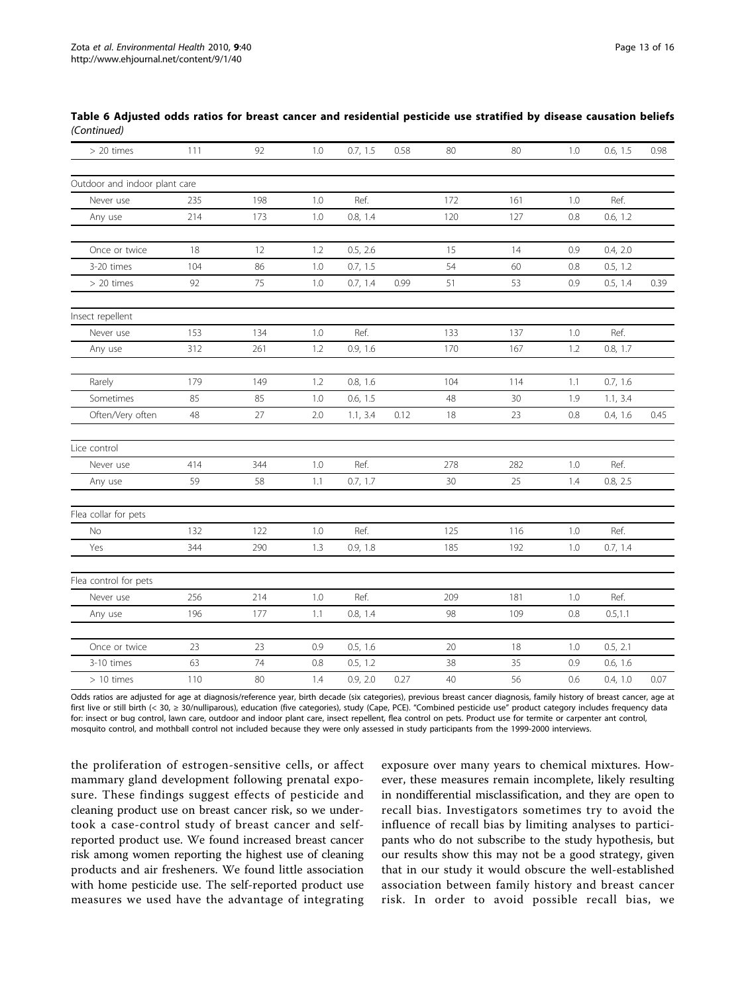|             | Table 6 Adjusted odds ratios for breast cancer and residential pesticide use stratified by disease causation beliefs |
|-------------|----------------------------------------------------------------------------------------------------------------------|
| (Continued) |                                                                                                                      |

| > 20 times                    | 111 | 92  | 1.0 | 0.7, 1.5 | 0.58 | 80  | 80  | $1.0\,$ | 0.6, 1.5 | 0.98 |
|-------------------------------|-----|-----|-----|----------|------|-----|-----|---------|----------|------|
| Outdoor and indoor plant care |     |     |     |          |      |     |     |         |          |      |
| Never use                     | 235 | 198 | 1.0 | Ref.     |      | 172 | 161 | 1.0     | Ref.     |      |
| Any use                       | 214 | 173 | 1.0 | 0.8, 1.4 |      | 120 | 127 | 0.8     | 0.6, 1.2 |      |
| Once or twice                 | 18  | 12  | 1.2 | 0.5, 2.6 |      | 15  | 14  | 0.9     | 0.4, 2.0 |      |
| 3-20 times                    | 104 | 86  | 1.0 | 0.7, 1.5 |      | 54  | 60  | 0.8     | 0.5, 1.2 |      |
| $> 20$ times                  | 92  | 75  | 1.0 | 0.7, 1.4 | 0.99 | 51  | 53  | 0.9     | 0.5, 1.4 | 0.39 |
| Insect repellent              |     |     |     |          |      |     |     |         |          |      |
| Never use                     | 153 | 134 | 1.0 | Ref.     |      | 133 | 137 | 1.0     | Ref.     |      |
| Any use                       | 312 | 261 | 1.2 | 0.9, 1.6 |      | 170 | 167 | 1.2     | 0.8, 1.7 |      |
| Rarely                        | 179 | 149 | 1.2 | 0.8, 1.6 |      | 104 | 114 | 1.1     | 0.7, 1.6 |      |
| Sometimes                     | 85  | 85  | 1.0 | 0.6, 1.5 |      | 48  | 30  | 1.9     | 1.1, 3.4 |      |
| Often/Very often              | 48  | 27  | 2.0 | 1.1, 3.4 | 0.12 | 18  | 23  | 0.8     | 0.4, 1.6 | 0.45 |
| Lice control                  |     |     |     |          |      |     |     |         |          |      |
| Never use                     | 414 | 344 | 1.0 | Ref.     |      | 278 | 282 | 1.0     | Ref.     |      |
| Any use                       | 59  | 58  | 1.1 | 0.7, 1.7 |      | 30  | 25  | 1.4     | 0.8, 2.5 |      |
| Flea collar for pets          |     |     |     |          |      |     |     |         |          |      |
| <b>No</b>                     | 132 | 122 | 1.0 | Ref.     |      | 125 | 116 | 1.0     | Ref.     |      |
| Yes                           | 344 | 290 | 1.3 | 0.9, 1.8 |      | 185 | 192 | 1.0     | 0.7, 1.4 |      |
| Flea control for pets         |     |     |     |          |      |     |     |         |          |      |
| Never use                     | 256 | 214 | 1.0 | Ref.     |      | 209 | 181 | 1.0     | Ref.     |      |
| Any use                       | 196 | 177 | 1.1 | 0.8, 1.4 |      | 98  | 109 | 0.8     | 0.5, 1.1 |      |
| Once or twice                 | 23  | 23  | 0.9 | 0.5, 1.6 |      | 20  | 18  | 1.0     | 0.5, 2.1 |      |
| 3-10 times                    | 63  | 74  | 0.8 | 0.5, 1.2 |      | 38  | 35  | 0.9     | 0.6, 1.6 |      |
| $> 10$ times                  | 110 | 80  | 1.4 | 0.9, 2.0 | 0.27 | 40  | 56  | 0.6     | 0.4, 1.0 | 0.07 |

Odds ratios are adjusted for age at diagnosis/reference year, birth decade (six categories), previous breast cancer diagnosis, family history of breast cancer, age at first live or still birth (< 30, ≥ 30/nulliparous), education (five categories), study (Cape, PCE). "Combined pesticide use" product category includes frequency data for: insect or bug control, lawn care, outdoor and indoor plant care, insect repellent, flea control on pets. Product use for termite or carpenter ant control, mosquito control, and mothball control not included because they were only assessed in study participants from the 1999-2000 interviews.

the proliferation of estrogen-sensitive cells, or affect mammary gland development following prenatal exposure. These findings suggest effects of pesticide and cleaning product use on breast cancer risk, so we undertook a case-control study of breast cancer and selfreported product use. We found increased breast cancer risk among women reporting the highest use of cleaning products and air fresheners. We found little association with home pesticide use. The self-reported product use measures we used have the advantage of integrating exposure over many years to chemical mixtures. However, these measures remain incomplete, likely resulting in nondifferential misclassification, and they are open to recall bias. Investigators sometimes try to avoid the influence of recall bias by limiting analyses to participants who do not subscribe to the study hypothesis, but our results show this may not be a good strategy, given that in our study it would obscure the well-established association between family history and breast cancer risk. In order to avoid possible recall bias, we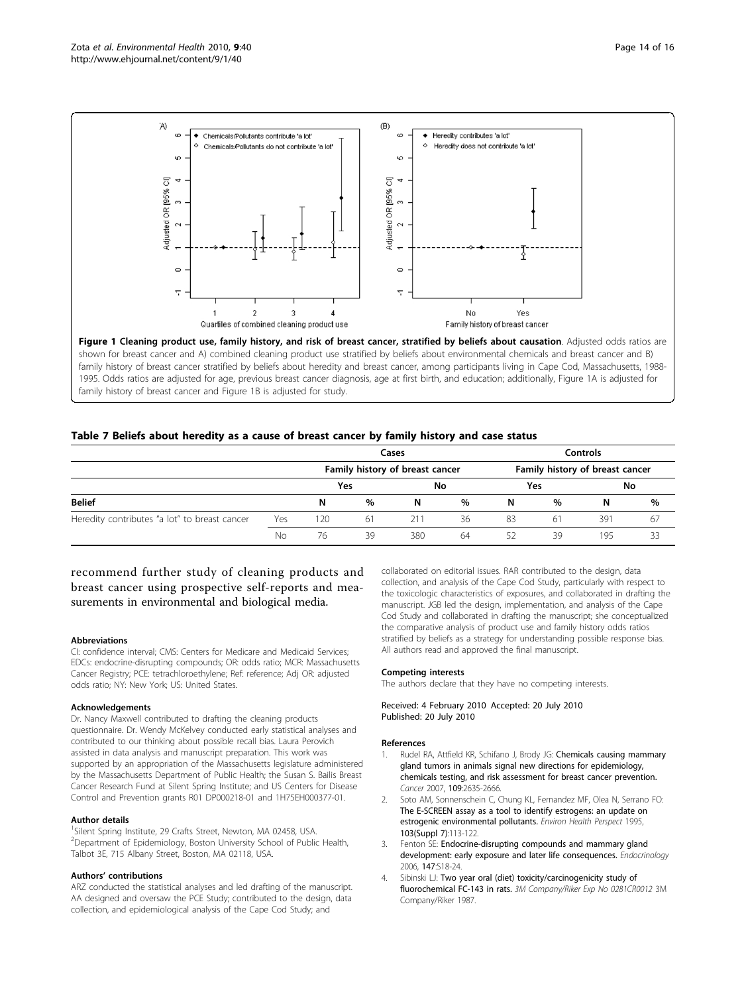<span id="page-13-0"></span>

Figure 1 Cleaning product use, family history, and risk of breast cancer, stratified by beliefs about causation. Adjusted odds ratios are shown for breast cancer and A) combined cleaning product use stratified by beliefs about environmental chemicals and breast cancer and B) family history of breast cancer stratified by beliefs about heredity and breast cancer, among participants living in Cape Cod, Massachusetts, 1988- 1995. Odds ratios are adjusted for age, previous breast cancer diagnosis, age at first birth, and education; additionally, Figure 1A is adjusted for family history of breast cancer and Figure 1B is adjusted for study.

## Table 7 Beliefs about heredity as a cause of breast cancer by family history and case status

|                                               |           | Cases                           |      |     |      | <b>Controls</b>                 |    |     |    |
|-----------------------------------------------|-----------|---------------------------------|------|-----|------|---------------------------------|----|-----|----|
|                                               |           | Family history of breast cancer |      |     |      | Family history of breast cancer |    |     |    |
|                                               |           | Yes                             |      | No  |      | Yes                             |    | No  |    |
| <b>Belief</b>                                 |           | N                               | $\%$ | N   | $\%$ | N                               | %  | N   | %  |
| Heredity contributes "a lot" to breast cancer | Yes       | 120                             | 61   | 211 | 36   | 83                              | 61 | 391 | 67 |
|                                               | <b>No</b> | 76                              | 39   | 380 | 64   | 52                              | 39 | 195 | २२ |

recommend further study of cleaning products and breast cancer using prospective self-reports and measurements in environmental and biological media.

#### Abbreviations

CI: confidence interval; CMS: Centers for Medicare and Medicaid Services; EDCs: endocrine-disrupting compounds; OR: odds ratio; MCR: Massachusetts Cancer Registry; PCE: tetrachloroethylene; Ref: reference; Adj OR: adjusted odds ratio; NY: New York; US: United States.

#### Acknowledgements

Dr. Nancy Maxwell contributed to drafting the cleaning products questionnaire. Dr. Wendy McKelvey conducted early statistical analyses and contributed to our thinking about possible recall bias. Laura Perovich assisted in data analysis and manuscript preparation. This work was supported by an appropriation of the Massachusetts legislature administered by the Massachusetts Department of Public Health; the Susan S. Bailis Breast Cancer Research Fund at Silent Spring Institute; and US Centers for Disease Control and Prevention grants R01 DP000218-01 and 1H75EH000377-01.

#### Author details

<sup>1</sup>Silent Spring Institute, 29 Crafts Street, Newton, MA 02458, USA. <sup>2</sup> Department of Epidemiology, Boston University School of Public Health, Talbot 3E, 715 Albany Street, Boston, MA 02118, USA.

### Authors' contributions

ARZ conducted the statistical analyses and led drafting of the manuscript. AA designed and oversaw the PCE Study; contributed to the design, data collection, and epidemiological analysis of the Cape Cod Study; and

collaborated on editorial issues. RAR contributed to the design, data collection, and analysis of the Cape Cod Study, particularly with respect to the toxicologic characteristics of exposures, and collaborated in drafting the manuscript. JGB led the design, implementation, and analysis of the Cape Cod Study and collaborated in drafting the manuscript; she conceptualized the comparative analysis of product use and family history odds ratios stratified by beliefs as a strategy for understanding possible response bias. All authors read and approved the final manuscript.

#### Competing interests

The authors declare that they have no competing interests.

Received: 4 February 2010 Accepted: 20 July 2010 Published: 20 July 2010

#### References

- Rudel RA, Attfield KR, Schifano J, Brody JG: [Chemicals causing mammary](http://www.ncbi.nlm.nih.gov/pubmed/17503434?dopt=Abstract) [gland tumors in animals signal new directions for epidemiology,](http://www.ncbi.nlm.nih.gov/pubmed/17503434?dopt=Abstract) [chemicals testing, and risk assessment for breast cancer prevention.](http://www.ncbi.nlm.nih.gov/pubmed/17503434?dopt=Abstract) Cancer 2007, 109:2635-2666.
- 2. Soto AM, Sonnenschein C, Chung KL, Fernandez MF, Olea N, Serrano FO: [The E-SCREEN assay as a tool to identify estrogens: an update on](http://www.ncbi.nlm.nih.gov/pubmed/8593856?dopt=Abstract) [estrogenic environmental pollutants.](http://www.ncbi.nlm.nih.gov/pubmed/8593856?dopt=Abstract) Environ Health Perspect 1995, 103(Suppl 7):113-122.
- 3. Fenton SE: [Endocrine-disrupting compounds and mammary gland](http://www.ncbi.nlm.nih.gov/pubmed/16690811?dopt=Abstract) [development: early exposure and later life consequences.](http://www.ncbi.nlm.nih.gov/pubmed/16690811?dopt=Abstract) Endocrinology 2006, 147:S18-24.
- 4. Sibinski LJ: Two year oral (diet) toxicity/carcinogenicity study of fluorochemical FC-143 in rats. 3M Company/Riker Exp No 0281CR0012 3M Company/Riker 1987.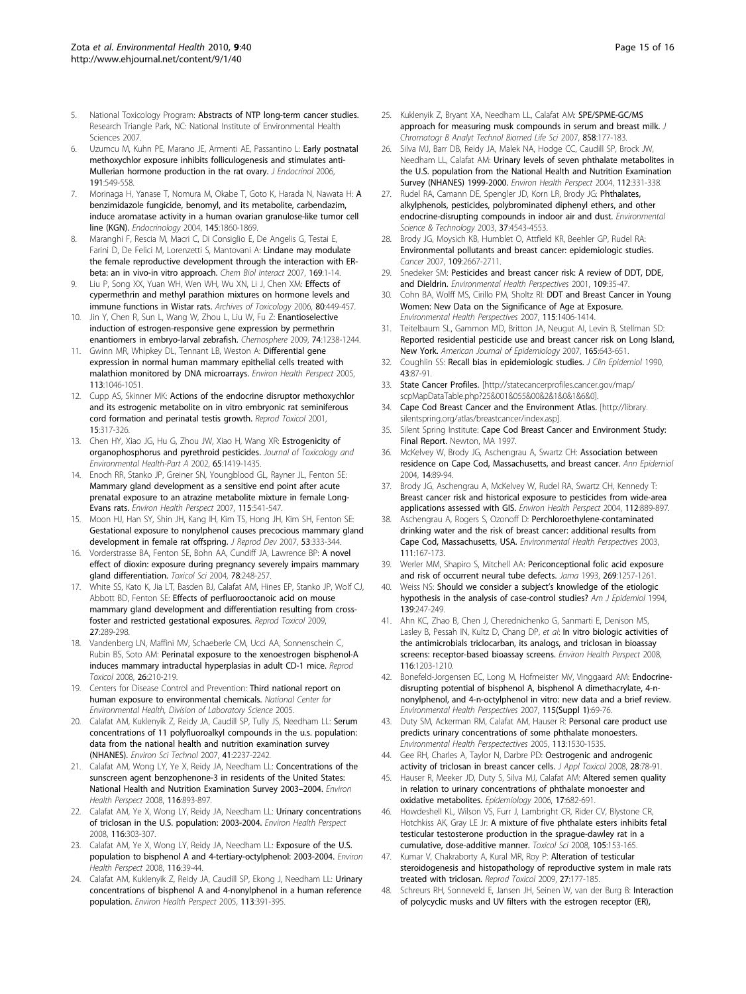- <span id="page-14-0"></span>5. National Toxicology Program: Abstracts of NTP long-term cancer studies. Research Triangle Park, NC: National Institute of Environmental Health Sciences 2007.
- 6. Uzumcu M, Kuhn PE, Marano JE, Armenti AE, Passantino L: [Early postnatal](http://www.ncbi.nlm.nih.gov/pubmed/17170213?dopt=Abstract) [methoxychlor exposure inhibits folliculogenesis and stimulates anti-](http://www.ncbi.nlm.nih.gov/pubmed/17170213?dopt=Abstract)[Mullerian hormone production in the rat ovary.](http://www.ncbi.nlm.nih.gov/pubmed/17170213?dopt=Abstract) *J Endocrinol* 2006, 191:549-558.
- 7. Morinaga H, Yanase T, Nomura M, Okabe T, Goto K, Harada N, Nawata H: [A](http://www.ncbi.nlm.nih.gov/pubmed/14691014?dopt=Abstract) [benzimidazole fungicide, benomyl, and its metabolite, carbendazim,](http://www.ncbi.nlm.nih.gov/pubmed/14691014?dopt=Abstract) [induce aromatase activity in a human ovarian granulose-like tumor cell](http://www.ncbi.nlm.nih.gov/pubmed/14691014?dopt=Abstract) [line \(KGN\).](http://www.ncbi.nlm.nih.gov/pubmed/14691014?dopt=Abstract) Endocrinology 2004, 145:1860-1869.
- 8. Maranghi F, Rescia M, Macri C, Di Consiglio E, De Angelis G, Testai E, Farini D, De Felici M, Lorenzetti S, Mantovani A: [Lindane may modulate](http://www.ncbi.nlm.nih.gov/pubmed/17537412?dopt=Abstract) [the female reproductive development through the interaction with ER](http://www.ncbi.nlm.nih.gov/pubmed/17537412?dopt=Abstract)[beta: an in vivo-in vitro approach.](http://www.ncbi.nlm.nih.gov/pubmed/17537412?dopt=Abstract) Chem Biol Interact 2007, 169:1-14.
- Liu P, Song XX, Yuan WH, Wen WH, Wu XN, Li J, Chen XM: [Effects of](http://www.ncbi.nlm.nih.gov/pubmed/16496128?dopt=Abstract) [cypermethrin and methyl parathion mixtures on hormone levels and](http://www.ncbi.nlm.nih.gov/pubmed/16496128?dopt=Abstract) [immune functions in Wistar rats.](http://www.ncbi.nlm.nih.gov/pubmed/16496128?dopt=Abstract) Archives of Toxicology 2006, 80:449-457.
- 10. Jin Y, Chen R, Sun L, Wang W, Zhou L, Liu W, Fu Z: [Enantioselective](http://www.ncbi.nlm.nih.gov/pubmed/19095286?dopt=Abstract) [induction of estrogen-responsive gene expression by permethrin](http://www.ncbi.nlm.nih.gov/pubmed/19095286?dopt=Abstract) [enantiomers in embryo-larval zebrafish.](http://www.ncbi.nlm.nih.gov/pubmed/19095286?dopt=Abstract) Chemosphere 2009, 74:1238-1244.
- 11. Gwinn MR, Whipkey DL, Tennant LB, Weston A: [Differential gene](http://www.ncbi.nlm.nih.gov/pubmed/16079077?dopt=Abstract) [expression in normal human mammary epithelial cells treated with](http://www.ncbi.nlm.nih.gov/pubmed/16079077?dopt=Abstract) [malathion monitored by DNA microarrays.](http://www.ncbi.nlm.nih.gov/pubmed/16079077?dopt=Abstract) Environ Health Perspect 2005, 113:1046-1051.
- 12. Cupp AS, Skinner MK: [Actions of the endocrine disruptor methoxychlor](http://www.ncbi.nlm.nih.gov/pubmed/11390175?dopt=Abstract) [and its estrogenic metabolite on in vitro embryonic rat seminiferous](http://www.ncbi.nlm.nih.gov/pubmed/11390175?dopt=Abstract) [cord formation and perinatal testis growth.](http://www.ncbi.nlm.nih.gov/pubmed/11390175?dopt=Abstract) Reprod Toxicol 2001, 15:317-326.
- 13. Chen HY, Xiao JG, Hu G, Zhou JW, Xiao H, Wang XR: [Estrogenicity of](http://www.ncbi.nlm.nih.gov/pubmed/12396874?dopt=Abstract) [organophosphorus and pyrethroid pesticides.](http://www.ncbi.nlm.nih.gov/pubmed/12396874?dopt=Abstract) Journal of Toxicology and Environmental Health-Part A 2002, 65:1419-1435.
- 14. Enoch RR, Stanko JP, Greiner SN, Youngblood GL, Rayner JL, Fenton SE: [Mammary gland development as a sensitive end point after acute](http://www.ncbi.nlm.nih.gov/pubmed/17450222?dopt=Abstract) [prenatal exposure to an atrazine metabolite mixture in female Long-](http://www.ncbi.nlm.nih.gov/pubmed/17450222?dopt=Abstract)[Evans rats.](http://www.ncbi.nlm.nih.gov/pubmed/17450222?dopt=Abstract) Environ Health Perspect 2007, 115:541-547.
- 15. Moon HJ, Han SY, Shin JH, Kang IH, Kim TS, Hong JH, Kim SH, Fenton SE: [Gestational exposure to nonylphenol causes precocious mammary gland](http://www.ncbi.nlm.nih.gov/pubmed/17190974?dopt=Abstract) [development in female rat offspring.](http://www.ncbi.nlm.nih.gov/pubmed/17190974?dopt=Abstract) J Reprod Dev 2007, 53:333-344.
- 16. Vorderstrasse BA, Fenton SE, Bohn AA, Cundiff JA, Lawrence BP: [A novel](http://www.ncbi.nlm.nih.gov/pubmed/14718648?dopt=Abstract) [effect of dioxin: exposure during pregnancy severely impairs mammary](http://www.ncbi.nlm.nih.gov/pubmed/14718648?dopt=Abstract) [gland differentiation.](http://www.ncbi.nlm.nih.gov/pubmed/14718648?dopt=Abstract) Toxicol Sci 2004, 78:248-257.
- 17. White SS, Kato K, Jia LT, Basden BJ, Calafat AM, Hines EP, Stanko JP, Wolf CJ, Abbott BD, Fenton SE: [Effects of perfluorooctanoic acid on mouse](http://www.ncbi.nlm.nih.gov/pubmed/19095057?dopt=Abstract) [mammary gland development and differentiation resulting from cross](http://www.ncbi.nlm.nih.gov/pubmed/19095057?dopt=Abstract)[foster and restricted gestational exposures.](http://www.ncbi.nlm.nih.gov/pubmed/19095057?dopt=Abstract) Reprod Toxicol 2009, 27:289-298.
- 18. Vandenberg LN, Maffini MV, Schaeberle CM, Ucci AA, Sonnenschein C, Rubin BS, Soto AM: [Perinatal exposure to the xenoestrogen bisphenol-A](http://www.ncbi.nlm.nih.gov/pubmed/18938238?dopt=Abstract) [induces mammary intraductal hyperplasias in adult CD-1 mice.](http://www.ncbi.nlm.nih.gov/pubmed/18938238?dopt=Abstract) Reprod Toxicol 2008, 26:210-219.
- 19. Centers for Disease Control and Prevention: Third national report on human exposure to environmental chemicals. National Center for Environmental Health, Division of Laboratory Science 2005.
- 20. Calafat AM, Kuklenyik Z, Reidy JA, Caudill SP, Tully JS, Needham LL: [Serum](http://www.ncbi.nlm.nih.gov/pubmed/17438769?dopt=Abstract) [concentrations of 11 polyfluoroalkyl compounds in the u.s. population:](http://www.ncbi.nlm.nih.gov/pubmed/17438769?dopt=Abstract) [data from the national health and nutrition examination survey](http://www.ncbi.nlm.nih.gov/pubmed/17438769?dopt=Abstract) [\(NHANES\).](http://www.ncbi.nlm.nih.gov/pubmed/17438769?dopt=Abstract) Environ Sci Technol 2007, 41:2237-2242.
- 21. Calafat AM, Wong LY, Ye X, Reidy JA, Needham LL: [Concentrations of the](http://www.ncbi.nlm.nih.gov/pubmed/18629311?dopt=Abstract) [sunscreen agent benzophenone-3 in residents of the United States:](http://www.ncbi.nlm.nih.gov/pubmed/18629311?dopt=Abstract) [National Health and Nutrition Examination Survey 2003](http://www.ncbi.nlm.nih.gov/pubmed/18629311?dopt=Abstract)–2004. Environ Health Perspect 2008, 116:893-897.
- 22. Calafat AM, Ye X, Wong LY, Reidy JA, Needham LL: [Urinary concentrations](http://www.ncbi.nlm.nih.gov/pubmed/18335095?dopt=Abstract) [of triclosan in the U.S. population: 2003-2004.](http://www.ncbi.nlm.nih.gov/pubmed/18335095?dopt=Abstract) Environ Health Perspect 2008, 116:303-307.
- 23. Calafat AM, Ye X, Wong LY, Reidy JA, Needham LL: [Exposure of the U.S.](http://www.ncbi.nlm.nih.gov/pubmed/18197297?dopt=Abstract) [population to bisphenol A and 4-tertiary-octylphenol: 2003-2004.](http://www.ncbi.nlm.nih.gov/pubmed/18197297?dopt=Abstract) Environ Health Perspect 2008, 116:39-44.
- 24. Calafat AM, Kuklenyik Z, Reidy JA, Caudill SP, Ekong J, Needham LL: [Urinary](http://www.ncbi.nlm.nih.gov/pubmed/15811827?dopt=Abstract) [concentrations of bisphenol A and 4-nonylphenol in a human reference](http://www.ncbi.nlm.nih.gov/pubmed/15811827?dopt=Abstract) [population.](http://www.ncbi.nlm.nih.gov/pubmed/15811827?dopt=Abstract) Environ Health Perspect 2005, 113:391-395.
- 25. Kuklenyik Z, Bryant XA, Needham LL, Calafat AM: [SPE/SPME-GC/MS](http://www.ncbi.nlm.nih.gov/pubmed/17870677?dopt=Abstract) [approach for measuring musk compounds in serum and breast milk.](http://www.ncbi.nlm.nih.gov/pubmed/17870677?dopt=Abstract) J Chromatogr B Analyt Technol Biomed Life Sci 2007, 858:177-183.
- 26. Silva MJ, Barr DB, Reidy JA, Malek NA, Hodge CC, Caudill SP, Brock JW, Needham LL, Calafat AM: [Urinary levels of seven phthalate metabolites in](http://www.ncbi.nlm.nih.gov/pubmed/14998749?dopt=Abstract) [the U.S. population from the National Health and Nutrition Examination](http://www.ncbi.nlm.nih.gov/pubmed/14998749?dopt=Abstract) [Survey \(NHANES\) 1999-2000.](http://www.ncbi.nlm.nih.gov/pubmed/14998749?dopt=Abstract) Environ Health Perspect 2004, 112:331-338.
- 27. Rudel RA, Camann DE, Spengler JD, Korn LR, Brody JG: [Phthalates,](http://www.ncbi.nlm.nih.gov/pubmed/14594359?dopt=Abstract) [alkylphenols, pesticides, polybrominated diphenyl ethers, and other](http://www.ncbi.nlm.nih.gov/pubmed/14594359?dopt=Abstract) [endocrine-disrupting compounds in indoor air and dust.](http://www.ncbi.nlm.nih.gov/pubmed/14594359?dopt=Abstract) Environmental Science & Technology 2003, 37:4543-4553.
- 28. Brody JG, Moysich KB, Humblet O, Attfield KR, Beehler GP, Rudel RA: [Environmental pollutants and breast cancer: epidemiologic studies.](http://www.ncbi.nlm.nih.gov/pubmed/17503436?dopt=Abstract) Cancer 2007, 109:2667-2711.
- 29. Snedeker SM: [Pesticides and breast cancer risk: A review of DDT, DDE,](http://www.ncbi.nlm.nih.gov/pubmed/11250804?dopt=Abstract) [and Dieldrin.](http://www.ncbi.nlm.nih.gov/pubmed/11250804?dopt=Abstract) Environmental Health Perspectives 2001, 109:35-47.
- 30. Cohn BA, Wolff MS, Cirillo PM, Sholtz RI: [DDT and Breast Cancer in Young](http://www.ncbi.nlm.nih.gov/pubmed/17938728?dopt=Abstract) [Women: New Data on the Significance of Age at Exposure.](http://www.ncbi.nlm.nih.gov/pubmed/17938728?dopt=Abstract) Environmental Health Perspectives 2007, 115:1406-1414.
- 31. Teitelbaum SL, Gammon MD, Britton JA, Neugut AI, Levin B, Stellman SD: [Reported residential pesticide use and breast cancer risk on Long Island,](http://www.ncbi.nlm.nih.gov/pubmed/17166928?dopt=Abstract) [New York.](http://www.ncbi.nlm.nih.gov/pubmed/17166928?dopt=Abstract) American Journal of Epidemiology 2007, 165:643-651.
- 32. Coughlin SS: [Recall bias in epidemiologic studies.](http://www.ncbi.nlm.nih.gov/pubmed/2319285?dopt=Abstract) J Clin Epidemiol 1990, 43:87-91.
- 33. State Cancer Profiles. [\[http://statecancerprofiles.cancer.gov/map/](http://statecancerprofiles.cancer.gov/map/scpMapDataTable.php?25&001&055&00&2&1&0&1&6&0) [scpMapDataTable.php?25&001&055&00&2&1&0&1&6&0\]](http://statecancerprofiles.cancer.gov/map/scpMapDataTable.php?25&001&055&00&2&1&0&1&6&0).
- 34. Cape Cod Breast Cancer and the Environment Atlas. [[http://library.](http://library.silentspring.org/atlas/breastcancer/index.asp) [silentspring.org/atlas/breastcancer/index.asp\]](http://library.silentspring.org/atlas/breastcancer/index.asp).
- 35. Silent Spring Institute: Cape Cod Breast Cancer and Environment Study: Final Report. Newton, MA 1997.
- 36. McKelvey W, Brody JG, Aschengrau A, Swartz CH: [Association between](http://www.ncbi.nlm.nih.gov/pubmed/15018880?dopt=Abstract) [residence on Cape Cod, Massachusetts, and breast cancer.](http://www.ncbi.nlm.nih.gov/pubmed/15018880?dopt=Abstract) Ann Epidemiol 2004, 14:89-94.
- 37. Brody JG, Aschengrau A, McKelvey W, Rudel RA, Swartz CH, Kennedy T: [Breast cancer risk and historical exposure to pesticides from wide-area](http://www.ncbi.nlm.nih.gov/pubmed/15175178?dopt=Abstract) [applications assessed with GIS.](http://www.ncbi.nlm.nih.gov/pubmed/15175178?dopt=Abstract) Environ Health Perspect 2004, 112:889-897.
- 38. Aschengrau A, Rogers S, Ozonoff D: [Perchloroethylene-contaminated](http://www.ncbi.nlm.nih.gov/pubmed/12573900?dopt=Abstract) [drinking water and the risk of breast cancer: additional results from](http://www.ncbi.nlm.nih.gov/pubmed/12573900?dopt=Abstract) [Cape Cod, Massachusetts, USA.](http://www.ncbi.nlm.nih.gov/pubmed/12573900?dopt=Abstract) Environmental Health Perspectives 2003, 111:167-173.
- 39. Werler MM, Shapiro S, Mitchell AA: [Periconceptional folic acid exposure](http://www.ncbi.nlm.nih.gov/pubmed/8437302?dopt=Abstract) [and risk of occurrent neural tube defects.](http://www.ncbi.nlm.nih.gov/pubmed/8437302?dopt=Abstract) Jama 1993, 269:1257-1261.
- 40. Weiss NS: [Should we consider a subject](http://www.ncbi.nlm.nih.gov/pubmed/8116599?dopt=Abstract)'s knowledge of the etiologic [hypothesis in the analysis of case-control studies?](http://www.ncbi.nlm.nih.gov/pubmed/8116599?dopt=Abstract) Am J Epidemiol 1994, 139:247-249.
- 41. Ahn KC, Zhao B, Chen J, Cherednichenko G, Sanmarti E, Denison MS, Lasley B, Pessah IN, Kultz D, Chang DP, et al: [In vitro biologic activities of](http://www.ncbi.nlm.nih.gov/pubmed/18795164?dopt=Abstract) [the antimicrobials triclocarban, its analogs, and triclosan in bioassay](http://www.ncbi.nlm.nih.gov/pubmed/18795164?dopt=Abstract) [screens: receptor-based bioassay screens.](http://www.ncbi.nlm.nih.gov/pubmed/18795164?dopt=Abstract) Environ Health Perspect 2008, 116:1203-1210.
- 42. Bonefeld-Jorgensen EC, Long M, Hofmeister MV, Vinggaard AM: [Endocrine](http://www.ncbi.nlm.nih.gov/pubmed/18174953?dopt=Abstract)[disrupting potential of bisphenol A, bisphenol A dimethacrylate, 4-n](http://www.ncbi.nlm.nih.gov/pubmed/18174953?dopt=Abstract)[nonylphenol, and 4-n-octylphenol in vitro: new data and a brief review.](http://www.ncbi.nlm.nih.gov/pubmed/18174953?dopt=Abstract) Environmental Health Perspectives 2007, 115(Suppl 1):69-76.
- 43. Duty SM, Ackerman RM, Calafat AM, Hauser R: Personal care product use predicts urinary concentrations of some phthalate monoesters. Environmental Health Perspectectives 2005, 113:1530-1535.
- 44. Gee RH, Charles A, Taylor N, Darbre PD: [Oestrogenic and androgenic](http://www.ncbi.nlm.nih.gov/pubmed/17992702?dopt=Abstract) [activity of triclosan in breast cancer cells.](http://www.ncbi.nlm.nih.gov/pubmed/17992702?dopt=Abstract) J Appl Toxicol 2008, 28:78-91.
- 45. Hauser R, Meeker JD, Duty S, Silva MJ, Calafat AM: [Altered semen quality](http://www.ncbi.nlm.nih.gov/pubmed/17003688?dopt=Abstract) [in relation to urinary concentrations of phthalate monoester and](http://www.ncbi.nlm.nih.gov/pubmed/17003688?dopt=Abstract) [oxidative metabolites.](http://www.ncbi.nlm.nih.gov/pubmed/17003688?dopt=Abstract) Epidemiology 2006, 17:682-691.
- 46. Howdeshell KL, Wilson VS, Furr J, Lambright CR, Rider CV, Blystone CR, Hotchkiss AK, Gray LE Jr: [A mixture of five phthalate esters inhibits fetal](http://www.ncbi.nlm.nih.gov/pubmed/18411233?dopt=Abstract) [testicular testosterone production in the sprague-dawley rat in a](http://www.ncbi.nlm.nih.gov/pubmed/18411233?dopt=Abstract) [cumulative, dose-additive manner.](http://www.ncbi.nlm.nih.gov/pubmed/18411233?dopt=Abstract) Toxicol Sci 2008, 105:153-165.
- 47. Kumar V, Chakraborty A, Kural MR, Roy P: [Alteration of testicular](http://www.ncbi.nlm.nih.gov/pubmed/19118620?dopt=Abstract) [steroidogenesis and histopathology of reproductive system in male rats](http://www.ncbi.nlm.nih.gov/pubmed/19118620?dopt=Abstract) [treated with triclosan.](http://www.ncbi.nlm.nih.gov/pubmed/19118620?dopt=Abstract) Reprod Toxicol 2009, 27:177-185.
- 48. Schreurs RH, Sonneveld E, Jansen JH, Seinen W, van der Burg B: [Interaction](http://www.ncbi.nlm.nih.gov/pubmed/15537743?dopt=Abstract) [of polycyclic musks and UV filters with the estrogen receptor \(ER\),](http://www.ncbi.nlm.nih.gov/pubmed/15537743?dopt=Abstract)